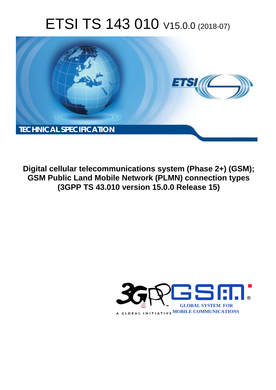# ETSI TS 143 010 V15.0.0 (2018-07)



**Digital cellular telecommunications system (Phase 2+) (GSM); GSM Public Land Mobile Network (PLMN) connection types (3GPP TS 43.010 version 15.0.0 Release 15)** 

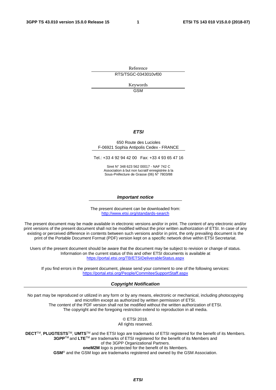Reference RTS/TSGC-0343010vf00

> Keywords GSM

### *ETSI*

#### 650 Route des Lucioles F-06921 Sophia Antipolis Cedex - FRANCE

Tel.: +33 4 92 94 42 00 Fax: +33 4 93 65 47 16

Siret N° 348 623 562 00017 - NAF 742 C Association à but non lucratif enregistrée à la Sous-Préfecture de Grasse (06) N° 7803/88

#### *Important notice*

The present document can be downloaded from: <http://www.etsi.org/standards-search>

The present document may be made available in electronic versions and/or in print. The content of any electronic and/or print versions of the present document shall not be modified without the prior written authorization of ETSI. In case of any existing or perceived difference in contents between such versions and/or in print, the only prevailing document is the print of the Portable Document Format (PDF) version kept on a specific network drive within ETSI Secretariat.

Users of the present document should be aware that the document may be subject to revision or change of status. Information on the current status of this and other ETSI documents is available at <https://portal.etsi.org/TB/ETSIDeliverableStatus.aspx>

If you find errors in the present document, please send your comment to one of the following services: <https://portal.etsi.org/People/CommiteeSupportStaff.aspx>

#### *Copyright Notification*

No part may be reproduced or utilized in any form or by any means, electronic or mechanical, including photocopying and microfilm except as authorized by written permission of ETSI. The content of the PDF version shall not be modified without the written authorization of ETSI. The copyright and the foregoing restriction extend to reproduction in all media.

> © ETSI 2018. All rights reserved.

**DECT**TM, **PLUGTESTS**TM, **UMTS**TM and the ETSI logo are trademarks of ETSI registered for the benefit of its Members. **3GPP**TM and **LTE**TM are trademarks of ETSI registered for the benefit of its Members and of the 3GPP Organizational Partners. **oneM2M** logo is protected for the benefit of its Members.

**GSM**® and the GSM logo are trademarks registered and owned by the GSM Association.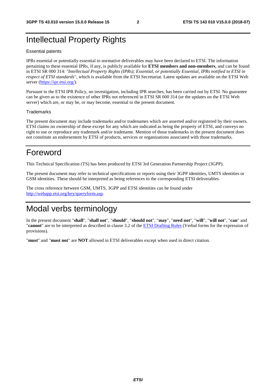## Intellectual Property Rights

#### Essential patents

IPRs essential or potentially essential to normative deliverables may have been declared to ETSI. The information pertaining to these essential IPRs, if any, is publicly available for **ETSI members and non-members**, and can be found in ETSI SR 000 314: *"Intellectual Property Rights (IPRs); Essential, or potentially Essential, IPRs notified to ETSI in respect of ETSI standards"*, which is available from the ETSI Secretariat. Latest updates are available on the ETSI Web server ([https://ipr.etsi.org/\)](https://ipr.etsi.org/).

Pursuant to the ETSI IPR Policy, no investigation, including IPR searches, has been carried out by ETSI. No guarantee can be given as to the existence of other IPRs not referenced in ETSI SR 000 314 (or the updates on the ETSI Web server) which are, or may be, or may become, essential to the present document.

#### **Trademarks**

The present document may include trademarks and/or tradenames which are asserted and/or registered by their owners. ETSI claims no ownership of these except for any which are indicated as being the property of ETSI, and conveys no right to use or reproduce any trademark and/or tradename. Mention of those trademarks in the present document does not constitute an endorsement by ETSI of products, services or organizations associated with those trademarks.

## Foreword

This Technical Specification (TS) has been produced by ETSI 3rd Generation Partnership Project (3GPP).

The present document may refer to technical specifications or reports using their 3GPP identities, UMTS identities or GSM identities. These should be interpreted as being references to the corresponding ETSI deliverables.

The cross reference between GSM, UMTS, 3GPP and ETSI identities can be found under [http://webapp.etsi.org/key/queryform.asp.](http://webapp.etsi.org/key/queryform.asp)

## Modal verbs terminology

In the present document "**shall**", "**shall not**", "**should**", "**should not**", "**may**", "**need not**", "**will**", "**will not**", "**can**" and "**cannot**" are to be interpreted as described in clause 3.2 of the [ETSI Drafting Rules](https://portal.etsi.org/Services/editHelp!/Howtostart/ETSIDraftingRules.aspx) (Verbal forms for the expression of provisions).

"**must**" and "**must not**" are **NOT** allowed in ETSI deliverables except when used in direct citation.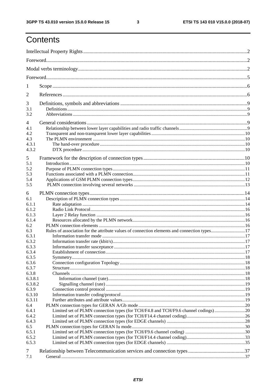$\mathbf{3}$ 

## Contents

| 1          |                                                                                             |  |
|------------|---------------------------------------------------------------------------------------------|--|
| 2          |                                                                                             |  |
| 3          |                                                                                             |  |
| 3.1<br>3.2 |                                                                                             |  |
| 4          |                                                                                             |  |
| 4.1        |                                                                                             |  |
| 4.2        |                                                                                             |  |
| 4.3        |                                                                                             |  |
|            |                                                                                             |  |
| 4.3.1      |                                                                                             |  |
| 4.3.2      |                                                                                             |  |
| 5          |                                                                                             |  |
| 5.1        |                                                                                             |  |
| 5.2        |                                                                                             |  |
| 5.3        |                                                                                             |  |
| 5.4        |                                                                                             |  |
| 5.5        |                                                                                             |  |
|            |                                                                                             |  |
| 6          |                                                                                             |  |
| 6.1        |                                                                                             |  |
| 6.1.1      |                                                                                             |  |
| 6.1.2      |                                                                                             |  |
| 6.1.3      |                                                                                             |  |
| 6.1.4      |                                                                                             |  |
| 6.2        |                                                                                             |  |
| 6.3        | Rules of association for the attribute values of connection elements and connection types17 |  |
| 6.3.1      |                                                                                             |  |
| 6.3.2      |                                                                                             |  |
| 6.3.3      |                                                                                             |  |
|            |                                                                                             |  |
| 6.3.4      |                                                                                             |  |
| 6.3.5      |                                                                                             |  |
| 6.3.6      |                                                                                             |  |
| 6.3.7      |                                                                                             |  |
| 6.3.8      |                                                                                             |  |
| 6.3.8.1    |                                                                                             |  |
| 6.3.8.2    |                                                                                             |  |
| 6.3.9      |                                                                                             |  |
| 6.3.10     |                                                                                             |  |
| 6.3.11     |                                                                                             |  |
| 6.4        |                                                                                             |  |
| 6.4.1      | Limited set of PLMN connection types (for TCH/F4.8 and TCH/F9.6 channel codings)20          |  |
| 6.4.2      |                                                                                             |  |
| 6.4.3      |                                                                                             |  |
| 6.5        |                                                                                             |  |
| 6.5.1      |                                                                                             |  |
| 6.5.2      |                                                                                             |  |
| 6.5.3      |                                                                                             |  |
|            |                                                                                             |  |
| 7          |                                                                                             |  |
| 7.1        |                                                                                             |  |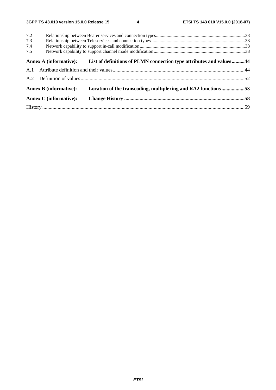| 7.2 |                               |                                                                                            |  |
|-----|-------------------------------|--------------------------------------------------------------------------------------------|--|
| 7.3 |                               |                                                                                            |  |
| 7.4 |                               |                                                                                            |  |
| 7.5 |                               |                                                                                            |  |
|     |                               | Annex A (informative): List of definitions of PLMN connection type attributes and values44 |  |
|     |                               |                                                                                            |  |
|     |                               |                                                                                            |  |
|     | <b>Annex B</b> (informative): | Location of the transcoding, multiplexing and RA2 functions53                              |  |
|     | <b>Annex C</b> (informative): |                                                                                            |  |
|     |                               |                                                                                            |  |
|     |                               |                                                                                            |  |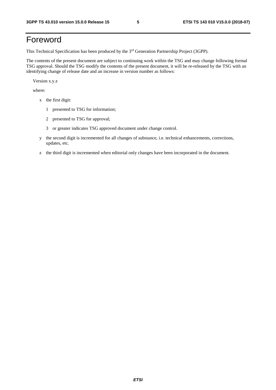## Foreword

This Technical Specification has been produced by the 3rd Generation Partnership Project (3GPP).

The contents of the present document are subject to continuing work within the TSG and may change following formal TSG approval. Should the TSG modify the contents of the present document, it will be re-released by the TSG with an identifying change of release date and an increase in version number as follows:

Version x.y.z

where:

- x the first digit:
	- 1 presented to TSG for information;
	- 2 presented to TSG for approval;
	- 3 or greater indicates TSG approved document under change control.
- y the second digit is incremented for all changes of substance, i.e. technical enhancements, corrections, updates, etc.
- z the third digit is incremented when editorial only changes have been incorporated in the document.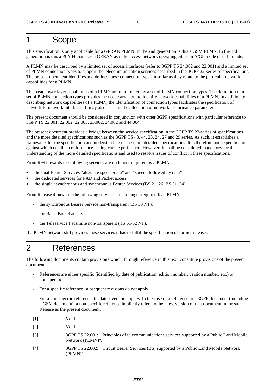## 1 Scope

This specification is only applicable for a GERAN PLMN. In the 2nd generation is this a GSM PLMN. In the 3rd generation is this a PLMN that uses a GERAN as radio access network operating either in A/Gb mode or in Iu mode.

A PLMN may be described by a limited set of access interfaces (refer to 3GPP TS 24.002 and 22.001) and a limited set of PLMN connection types to support the telecommunication services described in the 3GPP 22-series of specifications. The present document identifies and defines these connection types in so far as they relate to the particular network capabilities for a PLMN.

The basic lower layer capabilities of a PLMN are represented by a set of PLMN connection types. The definition of a set of PLMN connection types provides the necessary input to identify network capabilities of a PLMN. In addition to describing network capabilities of a PLMN, the identification of connection types facilitates the specification of network-to-network interfaces. It may also assist in the allocation of network performance parameters.

The present document should be considered in conjunction with other 3GPP specifications with particular reference to 3GPP TS 22.001, 22.002, 22.003, 23.002, 24.002 and 44.004.

The present document provides a bridge between the service specification in the 3GPP TS 22-series of specifications and the more detailed specifications such as the 3GPP TS 43, 44, 23, 24, 27 and 29 series. As such, it establishes a framework for the specification and understanding of the more detailed specifications. It is therefore not a specification against which detailed conformance testing can be performed. However, it shall be considered mandatory for the understanding of the more detailed specifications and used to resolve issues of conflict in these specifications.

From R99 onwards the following services are no longer required by a PLMN:

- the dual Bearer Services "alternate speech/data" and "speech followed by data"
- the dedicated services for PAD and Packet access
- the single asynchronous and synchronous Bearer Services (BS 21..26, BS 31..34)

From Release 4 onwards the following services are no longer required by a PLMN:

- the synchronous Bearer Service non-transparent (BS 30 NT).
- the Basic Packet access
- the Teleservice Facsimile non-transparent (TS 61/62 NT).

If a PLMN network still provides these services it has to fulfil the specification of former releases.

## 2 References

The following documents contain provisions which, through reference in this text, constitute provisions of the present document.

- References are either specific (identified by date of publication, edition number, version number, etc.) or non-specific.
- For a specific reference, subsequent revisions do not apply.
- For a non-specific reference, the latest version applies. In the case of a reference to a 3GPP document (including a GSM document), a non-specific reference implicitly refers to the latest version of that document in the same Release as the present document.
- [1] Void
- [2] Void
- [3] 3GPP TS 22.001: " Principles of telecommunications services supported by a Public Land Mobile Network (PLMN)".
- [4] 3GPP TS 22.002: " Circuit Bearer Services (BS) supported by a Public Land Mobile Network (PLMN)".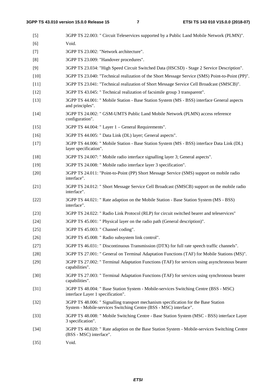| $[5]$  | 3GPP TS 22.003: " Circuit Teleservices supported by a Public Land Mobile Network (PLMN)".                                                                |
|--------|----------------------------------------------------------------------------------------------------------------------------------------------------------|
| [6]    | Void.                                                                                                                                                    |
| $[7]$  | 3GPP TS 23.002: "Network architecture".                                                                                                                  |
| [8]    | 3GPP TS 23.009: "Handover procedures".                                                                                                                   |
| [9]    | 3GPP TS 23.034: "High Speed Circuit Switched Data (HSCSD) - Stage 2 Service Description".                                                                |
| $[10]$ | 3GPP TS 23.040: "Technical realization of the Short Message Service (SMS) Point-to-Point (PP)".                                                          |
| $[11]$ | 3GPP TS 23.041: "Technical realization of Short Message Service Cell Broadcast (SMSCB)".                                                                 |
| $[12]$ | 3GPP TS 43.045: " Technical realization of facsimile group 3 transparent".                                                                               |
| $[13]$ | 3GPP TS 44.001: " Mobile Station - Base Station System (MS - BSS) interface General aspects<br>and principles".                                          |
| $[14]$ | 3GPP TS 24.002: " GSM-UMTS Public Land Mobile Network (PLMN) access reference<br>configuration".                                                         |
| $[15]$ | 3GPP TS 44.004: "Layer 1 – General Requirements".                                                                                                        |
| $[16]$ | 3GPP TS 44.005: " Data Link (DL) layer; General aspects".                                                                                                |
| $[17]$ | 3GPP TS 44.006: " Mobile Station - Base Station System (MS - BSS) interface Data Link (DL)<br>layer specification".                                      |
| $[18]$ | 3GPP TS 24.007: " Mobile radio interface signalling layer 3; General aspects".                                                                           |
| $[19]$ | 3GPP TS 24.008: " Mobile radio interface layer 3 specification".                                                                                         |
| $[20]$ | 3GPP TS 24.011: "Point-to-Point (PP) Short Message Service (SMS) support on mobile radio<br>interface".                                                  |
| $[21]$ | 3GPP TS 24.012: " Short Message Service Cell Broadcast (SMSCB) support on the mobile radio<br>interface".                                                |
| $[22]$ | 3GPP TS 44.021: " Rate adaption on the Mobile Station - Base Station System (MS - BSS)<br>interface".                                                    |
| $[23]$ | 3GPP TS 24.022: " Radio Link Protocol (RLP) for circuit switched bearer and teleservices"                                                                |
| $[24]$ | 3GPP TS 45.001: " Physical layer on the radio path (General description)".                                                                               |
| $[25]$ | 3GPP TS 45.003: " Channel coding".                                                                                                                       |
| $[26]$ | 3GPP TS 45.008: " Radio subsystem link control".                                                                                                         |
| $[27]$ | 3GPP TS 46.031: " Discontinuous Transmission (DTX) for full rate speech traffic channels".                                                               |
| $[28]$ | 3GPP TS 27.001: " General on Terminal Adaptation Functions (TAF) for Mobile Stations (MS)".                                                              |
| $[29]$ | 3GPP TS 27.002: " Terminal Adaptation Functions (TAF) for services using asynchronous bearer<br>capabilities".                                           |
| $[30]$ | 3GPP TS 27.003: " Terminal Adaptation Functions (TAF) for services using synchronous bearer<br>capabilities".                                            |
| $[31]$ | 3GPP TS 48.004: " Base Station System - Mobile-services Switching Centre (BSS - MSC)<br>interface Layer 1 specification".                                |
| $[32]$ | 3GPP TS 48.006: " Signalling transport mechanism specification for the Base Station<br>System - Mobile-services Switching Centre (BSS - MSC) interface". |
| $[33]$ | 3GPP TS 48.008: " Mobile Switching Centre - Base Station System (MSC - BSS) interface Layer<br>3 specification".                                         |
| $[34]$ | 3GPP TS 48.020: " Rate adaption on the Base Station System - Mobile-services Switching Centre<br>(BSS - MSC) interface".                                 |
| $[35]$ | Void.                                                                                                                                                    |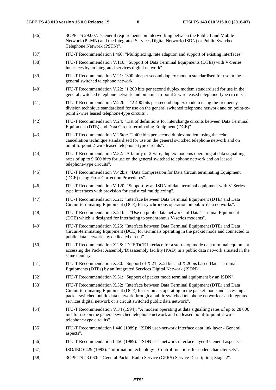- [36] 3GPP TS 29.007: "General requirements on interworking between the Public Land Mobile Network (PLMN) and the Integrated Services Digital Network (ISDN) or Public Switched Telephone Network (PSTN)". [37] ITU-T Recommendation I.460: "Multiplexing, rate adaption and support of existing interfaces". [38] ITU-T Recommendation V.110: "Support of Data Terminal Equipments (DTEs) with V-Series interfaces by an integrated services digital network". [39] ITU-T Recommendation V.21: "300 bits per second duplex modem standardised for use in the general switched telephone network". [40] ITU-T Recommendation V.22: "1 200 bits per second duplex modem standardised for use in the general switched telephone network and on point-to-point 2-wire leased telephone-type circuits". [41] ITU-T Recommendation V.22bis: "2 400 bits per second duplex modem using the frequency division technique standardised for use on the general switched telephone network and on point-topoint 2-wire leased telephone-type circuits". [42] ITU-T Recommendation V.24: "List of definitions for interchange circuits between Data Terminal Equipment (DTE) and Data Circuit-terminating Equipment (DCE)". [43] ITU-T Recommendation V.26ter: "2 400 bits per second duplex modem using the echo cancellation technique standardised for use on the general switched telephone network and on point-to-point 2-wire leased telephone-type circuits". [44] ITU-T Recommendation V.32: "A family of 2-wire, duplex modems operating at data signalling rates of up to 9 600 bit/s for use on the general switched telephone network and on leased telephone-type circuits". [45] ITU-T Recommendation V.42bis: "Data Compression for Data Circuit terminating Equipment (DCE) using Error Correction Procedures". [46] ITU-T Recommendation V.120: "Support by an ISDN of data terminal equipment with V-Series type interfaces with provision for statistical multiplexing". [47] ITU-T Recommendation X.21: "Interface between Data Terminal Equipment (DTE) and Data Circuit-terminating Equipment (DCE) for synchronous operation on public data networks". [48] ITU-T Recommendation X.21bis: "Use on public data networks of Data Terminal Equipment (DTE) which is designed for interfacing to synchronous V-series modems". [49] ITU-T Recommendation X.25: "Interface between Data Terminal Equipment (DTE) and Data Circuit-terminating Equipment (DCE) for terminals operating in the packet mode and connected to public data networks by dedicated circuit". [50] ITU-T Recommendation X.28: "DTE/DCE interface for a start-stop mode data terminal equipment accessing the Packet Assembly/Disassembly facility (PAD) in a public data network situated in the same country". [51] ITU-T Recommendation X.30: "Support of X.21, X.21bis and X.20bis based Data Terminal Equipments (DTEs) by an Integrated Services Digital Network (ISDN)". [52] ITU-T Recommendation X.31: "Support of packet mode terminal equipment by an ISDN". [53] ITU-T Recommendation X.32: "Interface between Data Terminal Equipment (DTE) and Data Circuit-terminating Equipment (DCE) for terminals operating in the packet mode and accessing a packet switched public data network through a public switched telephone network or an integrated services digital network or a circuit switched public data network". [54] ITU-T Recommendation V.34 (1994): "A modem operating at data signalling rates of up to 28 800 bits for use on the general switched telephone network and on leased point-to-point 2-wire telephone-type circuits". [55] ITU-T Recommendation I.440 (1989): "ISDN user-network interface data link layer - General aspects". [56] ITU-T Recommendation I.450 (1989): "ISDN user-network interface layer 3 General aspects". [57] ISO/IEC 6429 (1992): "Information technology - Control functions for coded character sets".
- [58] 3GPP TS 23.060: " General Packet Radio Service (GPRS) Service Description; Stage 2".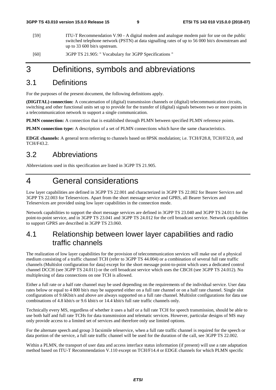- [59] ITU-T Recommendation V.90 A digital modem and analogue modem pair for use on the public switched telephone network (PSTN) at data signalling rates of up to 56 000 bit/s downstream and up to 33 600 bit/s upstream.
- [60] 3GPP TS 21.905: " Vocabulary for 3GPP Specifications "

## 3 Definitions, symbols and abbreviations

### 3.1 Definitions

For the purposes of the present document, the following definitions apply.

**(DIGITAL) connection:** A concatenation of (digital) transmission channels or (digital) telecommunication circuits, switching and other functional units set up to provide for the transfer of (digital) signals between two or more points in a telecommunication network to support a single communication.

**PLMN connection:** A connection that is established through PLMN between specified PLMN reference points.

**PLMN connection type:** A description of a set of PLMN connections which have the same characteristics.

**EDGE channels:** A general term referring to channels based on 8PSK modulation; i.e. TCH/F28.8, TCH/F32.0, and TCH/F43.2.

### 3.2 Abbreviations

Abbreviations used in this specification are listed in 3GPP TS 21.905.

## 4 General considerations

Low layer capabilities are defined in 3GPP TS 22.001 and characterized in 3GPP TS 22.002 for Bearer Services and 3GPP TS 22.003 for Teleservices. Apart from the short message service and GPRS, all Bearer Services and Teleservices are provided using low layer capabilities in the connection mode.

Network capabilities to support the short message services are defined in 3GPP TS 23.040 and 3GPP TS 24.011 for the point-to-point service, and in 3GPP TS 23.041 and 3GPP TS 24.012 for the cell broadcast service. Network capabilities to support GPRS are described in 3GPP TS 23.060.

### 4.1 Relationship between lower layer capabilities and radio traffic channels

The realization of low layer capabilities for the provision of telecommunication services will make use of a physical medium consisting of a traffic channel TCH (refer to 3GPP TS 44.004) or a combination of several full rate traffic channels (Multislot configuration for data) except for the short message point-to-point which uses a dedicated control channel DCCH (see 3GPP TS 24.011) or the cell broadcast service which uses the CBCH (see 3GPP TS 24.012). No multiplexing of data connections on one TCH is allowed.

Either a full rate or a half rate channel may be used depending on the requirements of the individual service. User data rates below or equal to 4 800 bit/s may be supported either on a full rate channel or on a half rate channel. Single slot configurations of 9.6Kbit/s and above are always supported on a full rate channel. Multislot configurations for data use combinations of 4.8 kbit/s or 9.6 kbit/s or 14.4 kbit/s full rate traffic channels only.

Technically every MS, regardless of whether it uses a half or a full rate TCH for speech transmission, should be able to use both half and full rate TCHs for data transmission and telematic services. However, particular designs of MS may only provide access to a limited set of services and therefore only use limited options.

For the alternate speech and group 3 facsimile teleservice, when a full rate traffic channel is required for the speech or data portion of the service, a full rate traffic channel will be used for the duration of the call, see 3GPP TS 22.002.

Within a PLMN, the transport of user data and access interface status information (if present) will use a rate adaptation method based on ITU-T Recommendation V.110 except on TCH/F14.4 or EDGE channels for which PLMN specific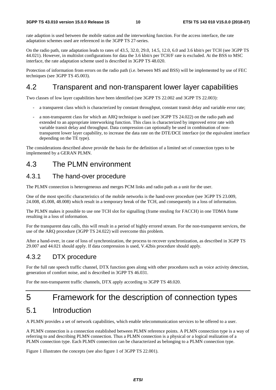rate adaption is used between the mobile station and the interworking function. For the access interface, the rate adaptation schemes used are referenced in the 3GPP TS 27-series.

On the radio path, rate adaptation leads to rates of 43.5, 32.0, 29.0, 14.5, 12.0, 6.0 and 3.6 kbit/s per TCH (see 3GPP TS 44.021). However, in multislot configurations for data the 3.6 kbit/s per TCH/F rate is excluded. At the BSS to MSC interface, the rate adaptation scheme used is described in 3GPP TS 48.020.

Protection of information from errors on the radio path (i.e. between MS and BSS) will be implemented by use of FEC techniques (see 3GPP TS 45.003).

### 4.2 Transparent and non-transparent lower layer capabilities

Two classes of low layer capabilities have been identified (see 3GPP TS 22.002 and 3GPP TS 22.003):

- a transparent class which is characterized by constant throughput, constant transit delay and variable error rate;
- a non-transparent class for which an ARQ technique is used (see 3GPP TS 24.022) on the radio path and extended to an appropriate interworking function. This class is characterized by improved error rate with variable transit delay and throughput. Data compression can optionally be used in combination of nontransparent lower layer capability, to increase the data rate on the DTE/DCE interface (or the equivalent interface depending on the TE type).

The considerations described above provide the basis for the definition of a limited set of connection types to be implemented by a GERAN PLMN.

### 4.3 The PLMN environment

### 4.3.1 The hand-over procedure

The PLMN connection is heterogeneous and merges PCM links and radio path as a unit for the user.

One of the most specific characteristics of the mobile networks is the hand-over procedure (see 3GPP TS 23.009, 24.008, 45.008, 48.008) which result in a temporary break of the TCH, and consequently in a loss of information.

The PLMN makes it possible to use one TCH slot for signalling (frame stealing for FACCH) in one TDMA frame resulting in a loss of information.

For the transparent data calls, this will result in a period of highly errored stream. For the non-transparent services, the use of the ARQ procedure (3GPP TS 24.022) will overcome this problem.

After a hand-over, in case of loss of synchronization, the process to recover synchronization, as described in 3GPP TS 29.007 and 44.021 should apply. If data compression is used, V.42bis procedure should apply.

### 4.3.2 DTX procedure

For the full rate speech traffic channel, DTX function goes along with other procedures such as voice activity detection, generation of comfort noise, and is described in 3GPP TS 46.031.

For the non-transparent traffic channels, DTX apply according to 3GPP TS 48.020.

## 5 Framework for the description of connection types

### 5.1 Introduction

A PLMN provides a set of network capabilities, which enable telecommunication services to be offered to a user.

A PLMN connection is a connection established between PLMN reference points. A PLMN connection type is a way of referring to and describing PLMN connection. Thus a PLMN connection is a physical or a logical realization of a PLMN connection type. Each PLMN connection can be characterized as belonging to a PLMN connection type.

Figure 1 illustrates the concepts (see also figure 1 of 3GPP TS 22.001).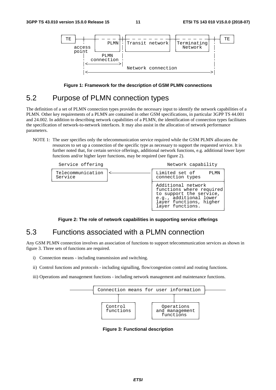

**Figure 1: Framework for the description of GSM PLMN connections** 

### 5.2 Purpose of PLMN connection types

The definition of a set of PLMN connection types provides the necessary input to identify the network capabilities of a PLMN. Other key requirements of a PLMN are contained in other GSM specifications, in particular 3GPP TS 44.001 and 24.002. In addition to describing network capabilities of a PLMN, the identification of connection types facilitates the specification of network-to-network interfaces. It may also assist in the allocation of network performance parameters.

NOTE 1: The user specifies only the telecommunication service required while the GSM PLMN allocates the resources to set up a connection of the specific type as necessary to support the requested service. It is further noted that, for certain service offerings, additional network functions, e.g. additional lower layer functions and/or higher layer functions, may be required (see figure 2).



**Figure 2: The role of network capabilities in supporting service offerings** 

### 5.3 Functions associated with a PLMN connection

Any GSM PLMN connection involves an association of functions to support telecommunication services as shown in figure 3. Three sets of functions are required.

- i) Connection means including transmission and switching.
- ii) Control functions and protocols including signalling, flow/congestion control and routing functions.
- iii) Operations and management functions including network management and maintenance functions.



**Figure 3: Functional description**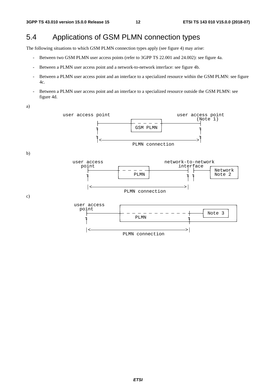## 5.4 Applications of GSM PLMN connection types

The following situations to which GSM PLMN connection types apply (see figure 4) may arise:

- Between two GSM PLMN user access points (refer to 3GPP TS 22.001 and 24.002): see figure 4a.
- Between a PLMN user access point and a network-to-network interface: see figure 4b.
- Between a PLMN user access point and an interface to a specialized resource within the GSM PLMN: see figure 4c.
- Between a PLMN user access point and an interface to a specialized resource outside the GSM PLMN: see figure 4d.

a)

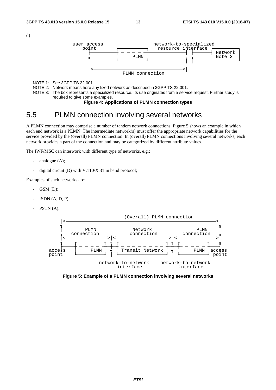d)



NOTE 1: See 3GPP TS 22.001.

NOTE 2: Network means here any fixed network as described in 3GPP TS 22.001.

NOTE 3: The box represents a specialized resource. Its use originates from a service request. Further study is required to give some examples.

### **Figure 4: Applications of PLMN connection types**

### 5.5 PLMN connection involving several networks

A PLMN connection may comprise a number of tandem network connections. Figure 5 shows an example in which each end network is a PLMN. The intermediate network(s) must offer the appropriate network capabilities for the service provided by the (overall) PLMN connection. In (overall) PLMN connections involving several networks, each network provides a part of the connection and may be categorized by different attribute values.

The IWF/MSC can interwork with different type of networks, e.g.:

- analogue  $(A)$ ;
- digital circuit (D) with V.110/X.31 in band protocol;

Examples of such networks are:

- $GSM$   $(D);$
- $ISDN(A, D, P);$
- PSTN (A).



**Figure 5: Example of a PLMN connection involving several networks**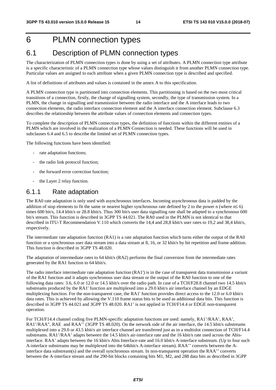## 6 PLMN connection types

## 6.1 Description of PLMN connection types

The characterization of PLMN connection types is done by using a set of attributes. A PLMN connection type attribute is a specific characteristic of a PLMN connection type whose values distinguish it from another PLMN connection type. Particular values are assigned to each attribute when a given PLMN connection type is described and specified.

A list of definitions of attributes and values is contained in the annex A to this specification.

A PLMN connection type is partitioned into connection elements. This partitioning is based on the two most critical transitions of a connection, firstly, the change of signalling system, secondly, the type of transmission system. In a PLMN, the change in signalling and transmission between the radio interface and the A interface leads to two connection elements, the radio interface connection element and the A interface connection element. Subclause 6.3 describes the relationship between the attribute values of connection elements and connection types.

To complete the description of PLMN connection types, the definition of functions within the different entities of a PLMN which are involved in the realization of a PLMN Connection is needed. These functions will be used in subclauses 6.4 and 6.5 to describe the limited set of PLMN connection types.

The following functions have been identified:

- rate adaptation functions;
- the radio link protocol function;
- the forward error correction function;
- the Layer 2 relay function.

### 6.1.1 Rate adaptation

The RA0 rate adaptation is only used with asynchronous interfaces. Incoming asynchronous data is padded by the addition of stop elements to fit the same or nearest higher synchronous rate defined by 2 to the power n (where  $n \le 6$ ) times 600 bit/s, 14.4 kbit/s or 28.8 kbit/s. Thus 300 bit/s user data signalling rate shall be adapted to a synchronous 600 bit/s stream. This function is described in 3GPP TS 44.021. The RA0 used in the PLMN is not identical to that described in ITU-T Recommendation V.110 which converts the 14,4 and 28,8 kbit/s user rates to 19,2 and 38,4 kbit/s, respectively.

The intermediate rate adaptation function (RA1) is a rate adaptation function which turns either the output of the RA0 function or a synchronous user data stream into a data stream at 8, 16, or 32 kbit/s by bit repetition and frame addition. This function is described in 3GPP TS 48.020.

The adaptation of intermediate rates to 64 kbit/s (RA2) performs the final conversion from the intermediate rates generated by the RA1 function to 64 kbit/s.

The radio interface intermediate rate adaptation function (RA1') is in the case of transparent data transmission a variant of the RA1 function and it adapts synchronous user data stream or the output of the RA0 function to one of the following data rates: 3.6, 6.0 or 12.0 or 14.5 kbit/s over the radio path. In case of a TCH/F28.8 channel two 14.5 kbit/s substreams produced by the RA1' function are multiplexed into a 29.0 kbit/s air interface channel by an EDGE multiplexing function. For the non-transparent case, the RA1' function provides direct access to the 12.0 or 6.0 kbit/s data rates. This is achieved by allowing the V.110 frame status bits to be used as additional data bits. This function is described in 3GPP TS 44.021 and 3GPP TS 48.020. RA1' is not applied in TCH/F14.4 or EDGE non-transparent operation.

For TCH/F14.4 channel coding five PLMN-specific adaptation functions are used: namely, RA1'/RAA', RAA', RA1'/RAA", RAE and RAA'' (3GPP TS 48.020). On the network side of the air interface, the 14.5 kbit/s substreams multiplexed into a 29.0 or 43.5 kbit/s air interface channel are transferred just as in a multislot connection of TCH/F14.4 substreams. RA1'/RAA' adapts between the 14.5 kbit/s air-interface rate and the 16 kbit/s rate used across the Abisinterface. RAA' adapts between the 16 kbit/s Abis Interface-rate and 16.0 kbit/s A-interface substream. (Up to four such A-interface substreams may be multiplexed into the 64kbit/s A-interface stream). RAA'' converts between the Ainterface data substream(s) and the overall synchronous stream. In non-transparent operation the RAA'' converts between the A-interface stream and the 290-bit blocks containing bits M1, M2, and 288 data bits as described in 3GPP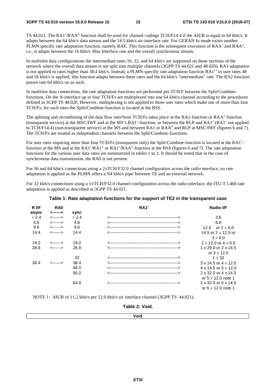TS 44.021. The RA1'/RAA" function shall be used for channel codings TCH/F14.4 if the AIUR is equal to 64 kbit/s. It adapts between the 64 kbit/s data stream and the 14.5 kbit/s air-interface rate. For GERAN Iu mode exists another PLMN specific rate adaptation function, namely RAE. This function is the subsequent execution of RAA' and RAA", i.e., it adapts between the 16 kbit/s Abis Interface rate and the overall synchronous stream.

In multislot data configurations the intermediate rates 16, 32, and 64 kbit/s are supported on those sections of the network where the overall data stream is not split into multiple channels (3GPP TS 44.021 and 48.020). RA1-adaptation is not applied to rates higher than 38.4 kbit/s. Instead, a PLMN-specific rate adaptation function RA1'' to user rates 48 and 56 kbit/s is applied; this function adapts between these rates and the 64 kbit/s "intermediate" rate. The RA2 function passes rate 64 kbit/s on as such.

In multislot data connections, the rate adaptation functions are performed per TCH/F between the Split/Combinefunctions. On the A-interface up to four TCH/Fs are multiplexed into one 64 kbit/s channel according to the procedures defined in 3GPP TS 48.020. However, multiplexing is not applied to those user rates which make use of more than four TCH/Fs; for such rates the Split/Combine-function is located at the BSS.

The splitting and recombining of the data flow into/from TCH/Fs takes place at the RA1-function or RAA" function (transparent service) at the MSC/IWF and at the MS's RA1'-function, or between the RLP and RA1' (RA1' not applied to TCH/F14.4) (non-transparent service) at the MS and between RA1 or RAA" and RLP at MSC/IWF (figures 6 and 7). The TCH/Fs are treated as independent channels between the Split/Combine-functions.

For user rates requiring more than four TCH/Fs (transparent only) the Split/Combine-function is located at the RA1' function at the MS and at the RA1'/RA1'' or RA1'/RAA"-function at the BSS (figures 6 and 7). The rate adaptation functions for the various user data rates are summarized in tables 1 to 3. It should be noted that in the case of synchronous data transmission, the RA0 is not present.

For 56 and 64 kbit/s connections using a 2×TCH/F32.0 channel configuration across the radio interface, no rate adaptation is applied as the PLMN offers a '64 kbit/s pipe' between TE and an external network.

For 32 kbit/s connections using a 1×TCH/F32.0 channel configuration across the radio interface, the ITU-T I.460 rate adaptation is applied as described in 3GPP TS 44.021.

| R I/F      | RA <sub>0</sub><br><------> |            | RA <sub>1</sub> ' | Radio I/F                          |
|------------|-----------------------------|------------|-------------------|------------------------------------|
| async      |                             | sync       |                   |                                    |
| $\leq 2.4$ | <------>                    | $\leq 2.4$ |                   | 3.6                                |
| 4.8        | <------>                    | 4.8        |                   | 6.0                                |
| 9.6        | <------>                    | 9.6        |                   | or $2 \times 6.0$<br>12.0          |
| 14.4       | <------>                    | 14.4       |                   | 14.5 or $2 \times 12.0$ or         |
|            |                             |            |                   | $3\times 6.0$                      |
| 19.2       | <------>                    | 19.2       |                   | $2 \times 12.0$ or $4 \times 6.0$  |
| 28.8       | <------>                    | 28.8       |                   | 1 x 29.0 or 2 x 14.5               |
|            |                             |            |                   | or $3 \times 12.0$                 |
|            |                             | 32         |                   | $1 \times 32$                      |
| 38.4       | <------>                    | 38.4       |                   | $3 \times 14.5$ or $4 \times 12.0$ |
|            |                             | 48.0       |                   | 4 x 14.5 or $5 \times 12.0$        |
|            |                             | 56.0       |                   | $2 \times 32.0$ or $4 \times 14.5$ |
|            |                             |            |                   | or $5 \times 12.0$ note 1          |
|            |                             | 64.0       |                   | 2 x 32.0 or 5 x 14.5               |
|            |                             |            |                   | or $6 \times 12.0$ note 1          |

### **Table 1: Rate adaptation functions for the support of TE2 in the transparent case**

NOTE 1: AIUR of 11.2 kbit/s per 12.0 kbit/s air interface channel (3GPP TS 44.021).

#### **Table 2: Void.**

**Void**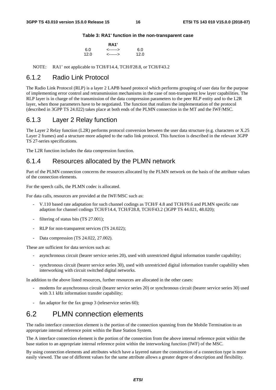### **Table 3: RA1' function in the non-transparent case**

| <b>RA1'</b> |          |      |  |  |
|-------------|----------|------|--|--|
| 6.0         | <------> | 6.0  |  |  |
| 12.0        | <------> | 12.0 |  |  |

NOTE: RA1' not applicable to TCH/F14.4, TCH/F28.8, or TCH/F43.2

### 6.1.2 Radio Link Protocol

The Radio Link Protocol (RLP) is a layer 2 LAPB based protocol which performs grouping of user data for the purpose of implementing error control and retransmission mechanisms in the case of non-transparent low layer capabilities. The RLP layer is in charge of the transmission of the data compression parameters to the peer RLP entity and to the L2R layer, when those parameters have to be negotiated. The function that realizes the implementation of the protocol (described in 3GPP TS 24.022) takes place at both ends of the PLMN connection in the MT and the IWF/MSC.

### 6.1.3 Layer 2 Relay function

The Layer 2 Relay function (L2R) performs protocol conversion between the user data structure (e.g. characters or X.25 Layer 2 frames) and a structure more adapted to the radio link protocol. This function is described in the relevant 3GPP TS 27-series specifications.

The L2R function includes the data compression function.

### 6.1.4 Resources allocated by the PLMN network

Part of the PLMN connection concerns the resources allocated by the PLMN network on the basis of the attribute values of the connection elements.

For the speech calls, the PLMN codec is allocated.

For data calls, resources are provided at the IWF/MSC such as:

- V.110 based rate adaptation for such channel codings as TCH/F 4.8 and TCH/F9.6 and PLMN specific rate adaption for channel codings TCH/F14.4, TCH/F28.8, TCH/F43.2 (3GPP TS 44.021, 48.020);
- filtering of status bits (TS 27.001);
- RLP for non-transparent services (TS 24.022);
- Data compression (TS 24.022, 27.002).

These are sufficient for data services such as:

- asynchronous circuit (bearer service series 20), used with unrestricted digital information transfer capability;
- synchronous circuit (bearer service series 30), used with unrestricted digital information transfer capability when interworking with circuit switched digital networks.

In addition to the above listed resources, further resources are allocated in the other cases:

- modems for asynchronous circuit (bearer service series 20) or synchronous circuit (bearer service series 30) used with 3.1 kHz information transfer capability;
- fax adaptor for the fax group  $3$  (teleservice series 60);

### 6.2 PLMN connection elements

The radio interface connection element is the portion of the connection spanning from the Mobile Termination to an appropriate internal reference point within the Base Station System.

The A interface connection element is the portion of the connection from the above internal reference point within the base station to an appropriate internal reference point within the interworking function (IWF) of the MSC.

By using connection elements and attributes which have a layered nature the construction of a connection type is more easily viewed. The use of different values for the same attribute allows a greater degree of description and flexibility.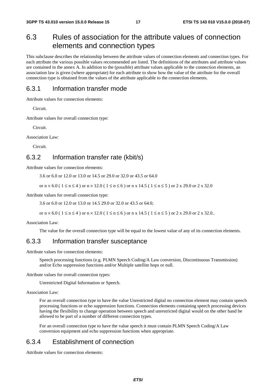## 6.3 Rules of association for the attribute values of connection elements and connection types

This subclause describes the relationship between the attribute values of connection elements and connection types. For each attribute the various possible values recommended are listed. The definitions of the attributes and attribute values are contained in the annex A. In addition to the (possible) attribute values applicable to the connection elements, an association law is given (where appropriate) for each attribute to show how the value of the attribute for the overall connection type is obtained from the values of the attribute applicable to the connection elements.

### 6.3.1 Information transfer mode

Attribute values for connection elements:

Circuit.

Attribute values for overall connection type:

Circuit.

Association Law:

Circuit.

### 6.3.2 Information transfer rate (kbit/s)

Attribute values for connection elements:

3.6 or 6.0 or 12.0 or 13.0 or 14.5 or 29.0 or 32.0 or 43.5 or 64.0

or  $n \times 6.0$  (  $1 \le n \le 4$  ) or  $n \times 12.0$  (  $1 \le n \le 6$  ) or  $n \times 14.5$  (  $1 \le n \le 5$  ) or  $2 \times 29.0$  or  $2 \times 32.0$ 

Attribute values for overall connection type:

3.6 or 6.0 or 12.0 or 13.0 or 14.5 29.0 or 32.0 or 43.5 or 64.0;

or  $n \times 6.0$  (  $1 \le n \le 4$  ) or  $n \times 12.0$  (  $1 \le n \le 6$  ) or  $n \times 14.5$  (  $1 \le n \le 5$  ) or  $2 \times 29.0$  or  $2 \times 32.0$ ..

Association Law:

The value for the overall connection type will be equal to the lowest value of any of its connection elements.

### 6.3.3 Information transfer susceptance

Attribute values for connection elements:

 Speech processing functions (e.g. PLMN Speech Coding/A Law conversion, Discontinuous Transmission) and/or Echo suppression functions and/or Multiple satellite hops or null.

Attribute values for overall connection types:

Unrestricted Digital Information or Speech.

Association Law:

 For an overall connection type to have the value Unrestricted digital no connection element may contain speech processing functions or echo suppression functions. Connection elements containing speech processing devices having the flexibility to change operation between speech and unrestricted digital would on the other hand be allowed to be part of a number of different connection types.

 For an overall connection type to have the value speech it must contain PLMN Speech Coding/A Law conversion equipment and echo suppression functions when appropriate.

### 6.3.4 Establishment of connection

Attribute values for connection elements: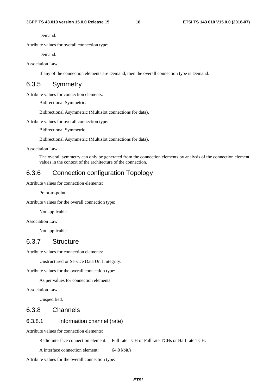Demand.

Attribute values for overall connection type:

Demand.

Association Law:

If any of the connection elements are Demand, then the overall connection type is Demand.

### 6.3.5 Symmetry

Attribute values for connection elements:

Bidirectional Symmetric.

Bidirectional Asymmetric (Multislot connections for data).

Attribute values for overall connection type:

Bidirectional Symmetric.

Bidirectional Asymmetric (Multislot connections for data).

Association Law:

 The overall symmetry can only be generated from the connection elements by analysis of the connection element values in the context of the architecture of the connection.

### 6.3.6 Connection configuration Topology

Attribute values for connection elements:

Point-to-point.

Attribute values for the overall connection type:

Not applicable.

Association Law:

Not applicable.

### 6.3.7 Structure

Attribute values for connection elements:

Unstructured or Service Data Unit Integrity.

Attribute values for the overall connection type:

As per values for connection elements.

Association Law:

Unspecified.

### 6.3.8 Channels

### 6.3.8.1 Information channel (rate)

Attribute values for connection elements:

Radio interface connection element: Full rate TCH or Full rate TCHs or Half rate TCH.

A interface connection element: 64.0 kbit/s.

Attribute values for the overall connection type: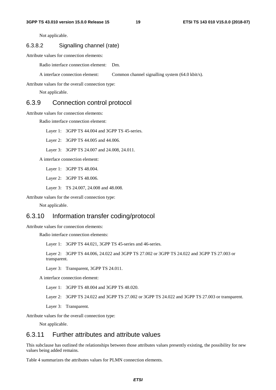Not applicable.

### 6.3.8.2 Signalling channel (rate)

Attribute values for connection elements:

Radio interface connection element: Dm.

A interface connection element: Common channel signalling system (64.0 kbit/s).

Attribute values for the overall connection type:

Not applicable.

### 6.3.9 Connection control protocol

Attribute values for connection elements:

Radio interface connection element:

Layer 1: 3GPP TS 44.004 and 3GPP TS 45-series.

Layer 2: 3GPP TS 44.005 and 44.006.

Layer 3: 3GPP TS 24.007 and 24.008, 24.011.

A interface connection element:

Layer 1: 3GPP TS 48.004.

Layer 2: 3GPP TS 48.006.

Layer 3: TS 24.007, 24.008 and 48.008.

Attribute values for the overall connection type:

Not applicable.

### 6.3.10 Information transfer coding/protocol

Attribute values for connection elements:

Radio interface connection elements:

Layer 1: 3GPP TS 44.021, 3GPP TS 45-series and 46-series.

 Layer 2: 3GPP TS 44.006, 24.022 and 3GPP TS 27.002 or 3GPP TS 24.022 and 3GPP TS 27.003 or transparent.

Layer 3: Transparent, 3GPP TS 24.011.

A interface connection element:

Layer 1: 3GPP TS 48.004 and 3GPP TS 48.020.

Layer 2: 3GPP TS 24.022 and 3GPP TS 27.002 or 3GPP TS 24.022 and 3GPP TS 27.003 or transparent.

Layer 3: Transparent.

Attribute values for the overall connection type:

Not applicable.

### 6.3.11 Further attributes and attribute values

This subclause has outlined the relationships between those attributes values presently existing, the possibility for new values being added remains.

Table 4 summarizes the attributes values for PLMN connection elements.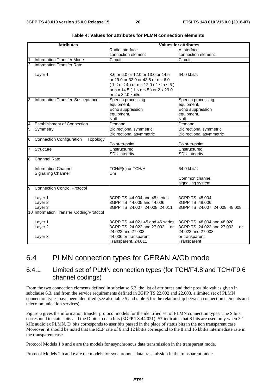|                | <b>Attributes</b>                           | <b>Values for attributes</b>                            |                                 |  |
|----------------|---------------------------------------------|---------------------------------------------------------|---------------------------------|--|
|                |                                             | Radio interface                                         | A interface                     |  |
|                |                                             | connection element                                      | connection element              |  |
|                | <b>Information Transfer Mode</b>            | Circuit                                                 | Circuit                         |  |
| $\overline{2}$ | <b>Information Transfer Rate</b>            |                                                         |                                 |  |
|                |                                             |                                                         |                                 |  |
|                | Layer 1                                     | 3.6 or 6.0 or 12.0 or 13.0 or 14.5                      | 64.0 kbit/s                     |  |
|                |                                             | or 29.0 or 32.0 or 43.5 or $n \times 6.0$               |                                 |  |
|                |                                             | $(1 \le n \le 4)$ or $n \times 12.0$ (1 $\le n \le 6$ ) |                                 |  |
|                |                                             | or n x 14.5 ( $1 \le n \le 5$ ) or 2 x 29.0             |                                 |  |
|                |                                             | or 2 x 32.0 kbit/s                                      |                                 |  |
| 3              | Information Transfer Susceptance            | Speech processing                                       | Speech processing               |  |
|                |                                             | equipment,                                              | equipment,                      |  |
|                |                                             | Echo suppression                                        | Echo suppression                |  |
|                |                                             | equipment,                                              | equipment,                      |  |
|                |                                             | Null                                                    | Null                            |  |
| 4              | <b>Establishment of Connection</b>          | Demand                                                  | Demand                          |  |
| 5              | Symmetry                                    | <b>Bidirectional symmetric</b>                          | <b>Bidirectional symmetric</b>  |  |
|                |                                             | <b>Bidirectional asymmetric</b>                         | <b>Bidirectional asymmetric</b> |  |
| 6              | <b>Connection Configuration</b><br>Topology |                                                         |                                 |  |
|                |                                             | Point-to-point                                          | Point-to-point                  |  |
| 7              | Structure                                   | Unstructured                                            | <b>Unstructured</b>             |  |
|                |                                             | SDU integrity                                           | SDU integrity                   |  |
| 8              | <b>Channel Rate</b>                         |                                                         |                                 |  |
|                | <b>Information Channel</b>                  | TCH/F(s) or TCH/H                                       | 64.0 kbit/s                     |  |
|                | Signalling Channel                          | Dm                                                      |                                 |  |
|                |                                             |                                                         | Common channel                  |  |
|                |                                             |                                                         | signalling system               |  |
| 9              | <b>Connection Control Protocol</b>          |                                                         |                                 |  |
|                |                                             |                                                         |                                 |  |
|                | Layer 1                                     | 3GPP TS 44,004 and 45 series                            | 3GPP TS 48,004                  |  |
|                | Layer <sub>2</sub>                          | 3GPP TS 44.005 and 44.006                               | 3GPP TS 48.006                  |  |
|                | Layer 3                                     | 3GPP TS 24.007, 24.008, 24.011                          | 3GPP TS 24.007, 24.008, 48.008  |  |
|                | 10 Information Transfer Coding/Protocol     |                                                         |                                 |  |
|                |                                             |                                                         |                                 |  |
|                | Layer 1                                     | 3GPP TS 44.021 45 and 46 series                         | 3GPP TS 48.004 and 48.020       |  |
|                | Layer <sub>2</sub>                          | 3GPP TS 24.022 and 27.002<br>or                         | 3GPP TS 24.022 and 27.002<br>or |  |
|                |                                             | 24.022 and 27.003                                       | 24.022 and 27.003               |  |
|                | Layer 3                                     | 44.006 or transparent                                   | or transparent                  |  |
|                |                                             | Transparent, 24.011                                     | Transparent                     |  |

**Table 4: Values for attributes for PLMN connection elements** 

### 6.4 PLMN connection types for GERAN A/Gb mode

### 6.4.1 Limited set of PLMN connection types (for TCH/F4.8 and TCH/F9.6 channel codings)

From the two connection elements defined in subclause 6.2, the list of attributes and their possible values given in subclause 6.3, and from the service requirements defined in 3GPP TS 22.002 and 22.003, a limited set of PLMN connection types have been identified (see also table 5 and table 6 for the relationship between connection elements and telecommunication services).

Figure 6 gives the information transfer protocol models for the identified set of PLMN connection types. The S bits correspond to status bits and the D bits to data bits (3GPP TS  $44.021$ ); S<sup>\*</sup> indicates that S bits are used only when 3.1 kHz audio ex PLMN. D' bits corresponds to user bits passed in the place of status bits in the non transparent case Moreover, it should be noted that the RLP rate of 6 and 12 kbit/s correspond to the 8 and 16 kbit/s intermediate rate in the transparent case.

Protocol Models 1 b and e are the models for asynchronous data transmission in the transparent mode.

Protocol Models 2 b and e are the models for synchronous data transmission in the transparent mode.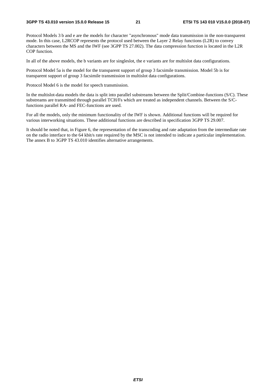Protocol Models 3 b and e are the models for character "asynchronous" mode data transmission in the non-transparent mode. In this case, L2RCOP represents the protocol used between the Layer 2 Relay functions (L2R) to convey characters between the MS and the IWF (see 3GPP TS 27.002). The data compression function is located in the L2R COP function.

In all of the above models, the b variants are for singleslot, the e variants are for multislot data configurations.

Protocol Model 5a is the model for the transparent support of group 3 facsimile transmission. Model 5b is for transparent support of group 3 facsimile transmission in multislot data configurations.

Protocol Model 6 is the model for speech transmission.

In the multislot-data models the data is split into parallel substreams between the Split/Combine-functions (S/C). These substreams are transmitted through parallel TCH/Fs which are treated as independent channels. Between the S/Cfunctions parallel RA- and FEC-functions are used.

For all the models, only the minimum functionality of the IWF is shown. Additional functions will be required for various interworking situations. These additional functions are described in specification 3GPP TS 29.007.

It should be noted that, in Figure 6, the representation of the transcoding and rate adaptation from the intermediate rate on the radio interface to the 64 kbit/s rate required by the MSC is not intended to indicate a particular implementation. The annex B to 3GPP TS 43.010 identifies alternative arrangements.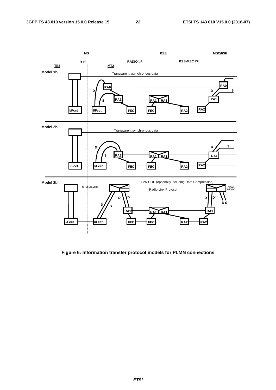

**Figure 6: Information transfer protocol models for PLMN connections** 

*ETSI*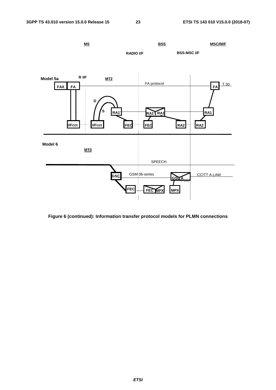

**Figure 6 (continued): Information transfer protocol models for PLMN connections**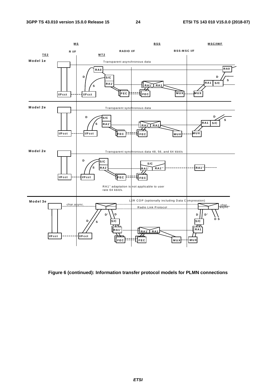

**Figure 6 (continued): Information transfer protocol models for PLMN connections**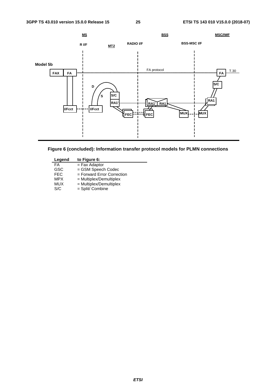



| Legend     | to Figure 6:                 |
|------------|------------------------------|
| FA         | $=$ Fax Adaptor              |
| <b>GSC</b> | = GSM Speech Codec           |
| <b>FEC</b> | $=$ Forward Error Correction |
| <b>MPX</b> | = Multiplex/Demultiplex      |
| MUX        | $=$ Multiplex/Demultiplex    |
| S/C        | = Split/ Combine             |
|            |                              |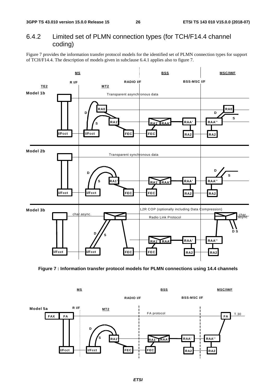### 6.4.2 Limited set of PLMN connection types (for TCH/F14.4 channel coding)

Figure 7 provides the information transfer protocol models for the identified set of PLMN connection types for support of TCH/F14.4. The description of models given in subclause 6.4.1 applies also to figure 7.



**Figure 7 : Information transfer protocol models for PLMN connections using 14.4 channels** 

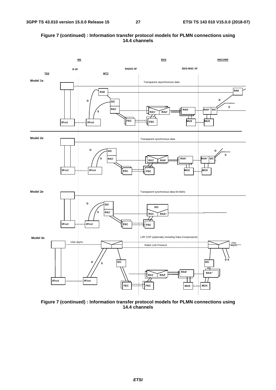### **Figure 7 (continued) : Information transfer protocol models for PLMN connections using 14.4 channels**



**Figure 7 (continued) : Information transfer protocol models for PLMN connections using 14.4 channels**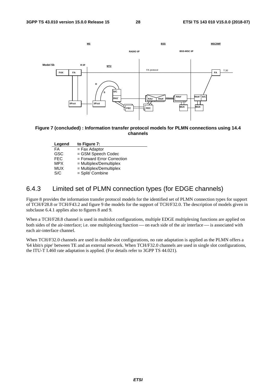

**Figure 7 (concluded) : Information transfer protocol models for PLMN connections using 14.4 channels** 

| Legend     | to Figure 7:                 |
|------------|------------------------------|
| FA         | $=$ Fax Adaptor              |
| <b>GSC</b> | = GSM Speech Codec           |
| <b>FEC</b> | $=$ Forward Error Correction |
| <b>MPX</b> | = Multiplex/Demultiplex      |
| MUX        | $=$ Multiplex/Demultiplex    |
| S/C        | = Split/ Combine             |
|            |                              |

### 6.4.3 Limited set of PLMN connection types (for EDGE channels)

Figure 8 provides the information transfer protocol models for the identified set of PLMN connection types for support of TCH/F28.8 or TCH/F43.2 and figure 9 the models for the support of TCH/F32.0. The description of models given in subclause 6.4.1 applies also to figures 8 and 9.

When a TCH/F28.8 channel is used in multislot configurations, multiple EDGE multiplexing functions are applied on both sides of the air-interface; i.e. one multiplexing function — on each side of the air interface — is associated with each air-interface channel.

When TCH/F32.0 channels are used in double slot configurations, no rate adaptation is applied as the PLMN offers a '64 kbit/s pipe' between TE and an external network. When TCH/F32.0 channels are used in single slot configurations, the ITU-T I.460 rate adaptation is applied. (For details refer to 3GPP TS 44.021).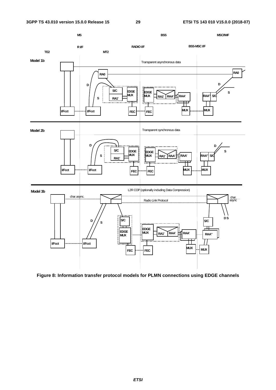

**Figure 8: Information transfer protocol models for PLMN connections using EDGE channels**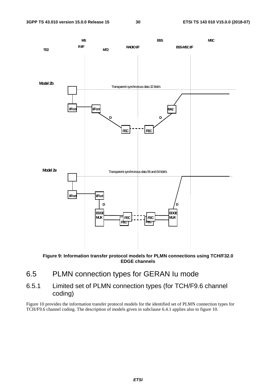

**Figure 9: Information transfer protocol models for PLMN connections using TCH/F32.0 EDGE channels** 

- 6.5 PLMN connection types for GERAN Iu mode
- 6.5.1 Limited set of PLMN connection types (for TCH/F9.6 channel coding)

Figure 10 provides the information transfer protocol models for the identified set of PLMN connection types for TCH/F9.6 channel coding. The description of models given in subclause 6.4.1 applies also to figure 10.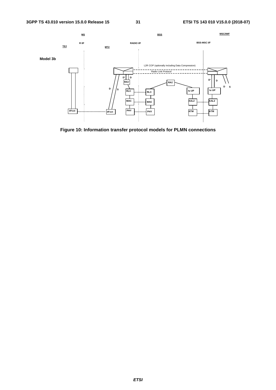

**Figure 10: Information transfer protocol models for PLMN connections**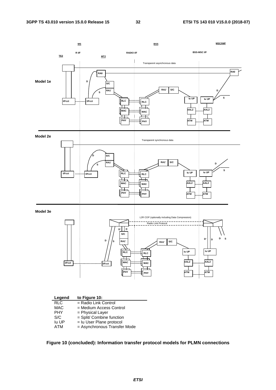

**Figure 10 (concluded): Information transfer protocol models for PLMN connections**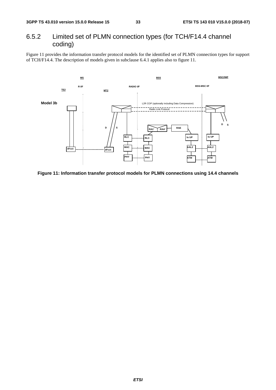### 6.5.2 Limited set of PLMN connection types (for TCH/F14.4 channel coding)

Figure 11 provides the information transfer protocol models for the identified set of PLMN connection types for support of TCH/F14.4. The description of models given in subclause 6.4.1 applies also to figure 11.



**Figure 11: Information transfer protocol models for PLMN connections using 14.4 channels**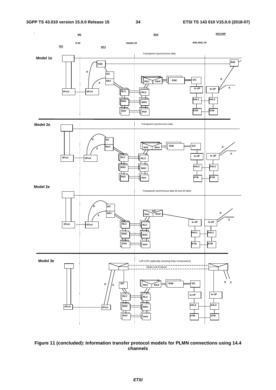

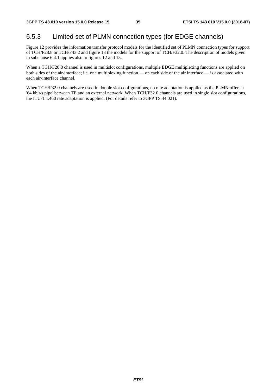### 6.5.3 Limited set of PLMN connection types (for EDGE channels)

Figure 12 provides the information transfer protocol models for the identified set of PLMN connection types for support of TCH/F28.8 or TCH/F43.2 and figure 13 the models for the support of TCH/F32.0. The description of models given in subclause 6.4.1 applies also to figures 12 and 13.

When a TCH/F28.8 channel is used in multislot configurations, multiple EDGE multiplexing functions are applied on both sides of the air-interface; i.e. one multiplexing function — on each side of the air interface — is associated with each air-interface channel.

When TCH/F32.0 channels are used in double slot configurations, no rate adaptation is applied as the PLMN offers a '64 kbit/s pipe' between TE and an external network. When TCH/F32.0 channels are used in single slot configurations, the ITU-T I.460 rate adaptation is applied. (For details refer to 3GPP TS 44.021).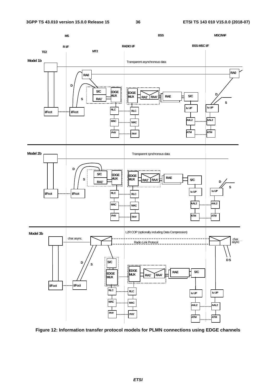

**Figure 12: Information transfer protocol models for PLMN connections using EDGE channels**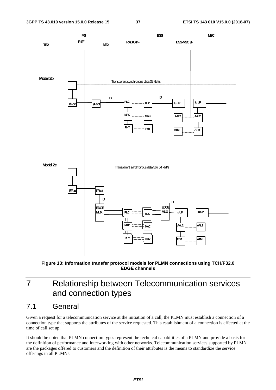

**Figure 13: Information transfer protocol models for PLMN connections using TCH/F32.0 EDGE channels** 

## 7 Relationship between Telecommunication services and connection types

### 7.1 General

Given a request for a telecommunication service at the initiation of a call, the PLMN must establish a connection of a connection type that supports the attributes of the service requested. This establishment of a connection is effected at the time of call set up.

It should be noted that PLMN connection types represent the technical capabilities of a PLMN and provide a basis for the definition of performance and interworking with other networks. Telecommunication services supported by PLMN are the packages offered to customers and the definition of their attributes is the means to standardize the service offerings in all PLMNs.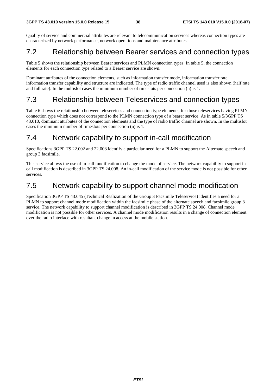Quality of service and commercial attributes are relevant to telecommunication services whereas connection types are characterized by network performance, network operations and maintenance attributes.

## 7.2 Relationship between Bearer services and connection types

Table 5 shows the relationship between Bearer services and PLMN connection types. In table 5, the connection elements for each connection type related to a Bearer service are shown.

Dominant attributes of the connection elements, such as information transfer mode, information transfer rate, information transfer capability and structure are indicated. The type of radio traffic channel used is also shown (half rate and full rate). In the multislot cases the minimum number of timeslots per connection (n) is 1.

## 7.3 Relationship between Teleservices and connection types

Table 6 shows the relationship between teleservices and connection type elements, for those teleservices having PLMN connection type which does not correspond to the PLMN connection type of a bearer service. As in table 5/3GPP TS 43.010, dominant attributes of the connection elements and the type of radio traffic channel are shown. In the multislot cases the minimum number of timeslots per connection (n) is 1.

## 7.4 Network capability to support in-call modification

Specifications 3GPP TS 22.002 and 22.003 identify a particular need for a PLMN to support the Alternate speech and group 3 facsimile.

This service allows the use of in-call modification to change the mode of service. The network capability to support incall modification is described in 3GPP TS 24.008. An in-call modification of the service mode is not possible for other services.

## 7.5 Network capability to support channel mode modification

Specification 3GPP TS 43.045 (Technical Realization of the Group 3 Facsimile Teleservice) identifies a need for a PLMN to support channel mode modification within the facsimile phase of the alternate speech and facsimile group 3 service. The network capability to support channel modification is described in 3GPP TS 24.008. Channel mode modification is not possible for other services. A channel mode modification results in a change of connection element over the radio interface with resultant change in access at the mobile station.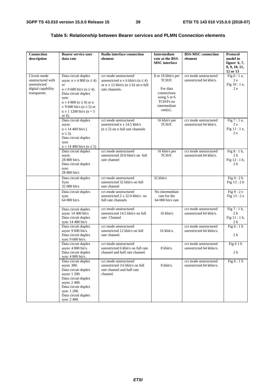| <b>Connection</b><br>description                                                        | <b>Bearer service user</b><br>data rate                                                                                                                                                                                                                                            | Radio interface connection<br>element                                                                                                        | <b>Intermediate</b><br>rate at the BSS-                                                                                 | <b>BSS-MSC</b> connection<br>element              | <b>Protocol</b><br>model in                                      |
|-----------------------------------------------------------------------------------------|------------------------------------------------------------------------------------------------------------------------------------------------------------------------------------------------------------------------------------------------------------------------------------|----------------------------------------------------------------------------------------------------------------------------------------------|-------------------------------------------------------------------------------------------------------------------------|---------------------------------------------------|------------------------------------------------------------------|
|                                                                                         |                                                                                                                                                                                                                                                                                    |                                                                                                                                              | <b>MSC</b> interface                                                                                                    |                                                   | figure $6, 7$ ,<br>8, 9, 10, 11,<br>12 or 13                     |
| Circuit mode<br>unstructured with<br>unrestricted<br>digital capability<br>transparent. | Data circuit duplex<br>async $n \times 4800$ ( $n \le 4$ )<br><b>or</b><br>$n \times 9$ 600 bit/s ( $n \leq 4$ ).<br>Data circuit duplex<br>sync<br>$n \times 4800$ ( $n \le 4$ ) or n<br>$\times$ 9 600 bit/s (n $\leq$ 5) or<br>$n \times 1$ 1200 bit/s ( $n = 5$ )<br>or $6$ ). | cct mode unstructured<br>unrestricted $n \times 6$ kbit/s ( $n \le 4$ )<br>or $n \times 12$ kbit/s ( $n \le 6$ ) on n full<br>rate channels. | 8 or 16 kbit/s per<br>TCH/F.<br>For data<br>connections<br>using $5$ or $6$<br>TCH/Fs no<br>intermediate<br>$rate(s)$ . | cct mode unstructured<br>unrestricted 64 kbit/s.  | Fig $6:1e$ ,<br>2e<br>Fig 10 : 1 e,<br>2e                        |
|                                                                                         | Data circuit duplex<br>async<br>$n \times 14400$ bit/s (<br>$n \leq 3$ ).<br>Data circuit duplex<br>sync<br>$n \times 14400$ bit/s ( $n \le 5$ )                                                                                                                                   | cct mode unstructured<br>unrestricted n x 14.5 kbit/s<br>$(n \leq 5)$ on n full rate channels                                                | 16 kbit/s per<br>TCH/F.                                                                                                 | cct mode unstructured<br>unrestricted 64 kbit/s.  | Fig 7 : 1 e,<br>2e<br>Fig 11 : 1 e,<br>2e                        |
|                                                                                         | Data circuit duplex<br>async<br>28 800 bit/s.<br>Data circuit duplex<br>sync<br>28 800 bit/s                                                                                                                                                                                       | cct mode unstructured<br>unrestricted 29.0 kbit/s on full<br>rate channel                                                                    | 16 kbit/s per<br>TCH/F.                                                                                                 | cct mode unstructured<br>unrestricted 64 kbit/s.  | Fig $8:1 b$ ,<br>2 <sub>b</sub><br>Fig 12:1 b,<br>2 <sub>b</sub> |
|                                                                                         | Data circuit duplex<br>Sync<br>32 000 bit/s                                                                                                                                                                                                                                        | cct mode unstructured<br>unrestricted 32 kbit/s on full<br>rate channel                                                                      | 32 kbit/s                                                                                                               |                                                   | Fig 9:2 b<br>Fig 13:2b                                           |
|                                                                                         | Data circuit duplex<br>sync<br>64 000 bit/s                                                                                                                                                                                                                                        | cct mode unstructured<br>unrestricted $2 \times 32.0$ kbit/s on<br>full rate channels                                                        | No intermediate<br>rate for the<br>$64000$ bit/s rate                                                                   |                                                   | Fig 9:2e<br>Fig 13:2 e                                           |
|                                                                                         | Data circuit duplex<br>async 14 400 bit/s<br>Data circuit duplex<br>sync $14\,400\,\text{bit/s}$                                                                                                                                                                                   | cct mode unstructured<br>unrestricted 14.5 kbit/s on full<br>rate Channel                                                                    | 16 kbit/s                                                                                                               | cct mode unstructured<br>unrestricted 64 kbit/s.  | Fig $7:1 b$ ,<br>2 <sub>b</sub><br>Fig 11:1b,<br>2 <sub>b</sub>  |
|                                                                                         | Data circuit duplex<br>async 9 600 bit/s.<br>Data circuit duplex<br>sync 9 600 bit/s.                                                                                                                                                                                              | cct mode unstructured<br>unrestricted 12 kbit/s on full<br>rate channel.                                                                     | 16 kbit/s.                                                                                                              | cct mode unstructured<br>unrestricted 64 kbits/s. | Fig 6:1b<br>2 <sub>b</sub>                                       |
|                                                                                         | Data circuit duplex<br>async 4 800 bit/s.<br>Data circuit duplex<br>sync $4800$ bit/s.                                                                                                                                                                                             | cct mode unstructured<br>unrestricted 6 kbit/s on full rate<br>channel and half rate channel.                                                | 8 kbit/s.                                                                                                               | cct mode unstructured<br>unrestricted 64 kbits/s. | Fig $61b$<br>2 <sub>b</sub>                                      |
|                                                                                         | Data circuit duplex<br>async 300.<br>Data circuit duplex<br>async 1 200.<br>Data circuit duplex<br>async 2 400.<br>Data circuit duplex<br>sync 1 200.<br>Data circuit duplex<br>sync 2 400.                                                                                        | cct mode unstructured<br>unrestricted 3.6 kbit/s on full<br>rate channel and half rate<br>channel.                                           | 8 kbit/s.                                                                                                               | cct mode unstructured<br>unrestricted 64 kbits/s. | Fig 6:1b                                                         |

### **Table 5: Relationship between Bearer services and PLMN Connection elements**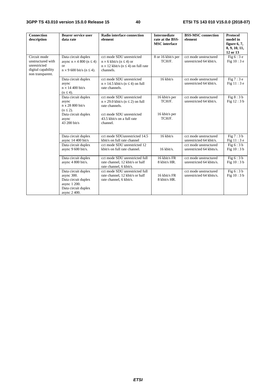### **3GPP TS 43.010 version 15.0.0 Release 15 40 ETSI TS 143 010 V15.0.0 (2018-07)**

| <b>Connection</b><br>description                                                            | <b>Bearer service user</b><br>data rate                                                                            | Radio interface connection<br>element                                                                                                                              | <b>Intermediate</b><br>rate at the BSS-<br><b>MSC</b> interface | <b>BSS-MSC</b> connection<br>element                                                                  | <b>Protocol</b><br>model in<br>figure $6, 7$ ,<br>8, 9, 10, 11,<br>12 or 13 |
|---------------------------------------------------------------------------------------------|--------------------------------------------------------------------------------------------------------------------|--------------------------------------------------------------------------------------------------------------------------------------------------------------------|-----------------------------------------------------------------|-------------------------------------------------------------------------------------------------------|-----------------------------------------------------------------------------|
| Circuit mode<br>unstructured with<br>unrestricted<br>digital capability<br>non transparent. | Data circuit duplex<br>async $n \times 4800$ ( $n \le 4$ )<br><b>or</b><br>$n \times 9$ 600 bit/s ( $n \le 4$ ).   | cct mode SDU unrestricted<br>$n \times 6$ kbit/s ( $n \leq 4$ ) or<br>$n \times 12$ kbit/s ( $n \leq 4$ ) on full rate<br>channels.                                | 8 or 16 kbit/s per<br>TCH/F.                                    | cct mode unstructured<br>unrestricted 64 kbit/s.                                                      | Fig $6:3e$<br>Fig $10:3e$                                                   |
|                                                                                             | Data circuit duplex<br>async<br>$n \times 14400$ bit/s<br>$(n \leq 4)$ .                                           | cct mode SDU unrestricted<br>$n \times 14.5$ kbit/s ( $n \leq 4$ ) on full<br>rate channels.                                                                       | $16$ kbit/s                                                     | cct mode unstructured<br>unrestricted 64 kbit/s.                                                      | Fig $7:3e$<br>Fig 11:3 e                                                    |
|                                                                                             | Data circuit duplex<br>async<br>n x 28 800 bit/s<br>$(n \leq 2)$ .<br>Data circuit duplex<br>async<br>43 200 bit/s | cct mode SDU unrestricted<br>$n \times 29.0$ kbit/s ( $n \le 2$ ) on full<br>rate channels.<br>cct mode SDU unrestricted<br>43.5 kbit/s on a full rate<br>channel. | 16 kbit/s per<br>TCH/F.<br>16 kbit/s per<br>TCH/F.              | cct mode unstructured<br>unrestricted 64 kbit/s.                                                      | Fig $8:3b$<br>Fig $12:3b$                                                   |
|                                                                                             | Data circuit duplex<br>async 14 400 bit/s<br>Data circuit duplex<br>async 9 600 bit/s.                             | cct mode SDUunrestricted 14.5<br>kbit/s on full rate channel<br>cct mode SDU unrestricted 12<br>kbit/s on full rate channel.                                       | $16$ kbit/s<br>$16$ kbit/s.                                     | cct mode unstructured<br>unrestricted 64 kbit/s.<br>cct mode unstructured<br>unrestricted 64 kbits/s. | Fig 7:3 b<br>Fig $11:3e$<br>Fig $6:3b$<br>Fig 10:3 b                        |
|                                                                                             | Data circuit duplex<br>async 4 800 bit/s.                                                                          | cct mode SDU unrestricted full<br>rate channel, 12 kbit/s or half<br>rate channel, 6 kbit/s.                                                                       | 16 kbit/s FR<br>8 kbit/s HR.                                    | cct mode unstructured<br>unrestricted 64 kbits/s.                                                     | Fig $6:3 b$<br>Fig 10:3 b                                                   |
|                                                                                             | Data circuit duplex<br>async 300.<br>Data circuit duplex<br>async 1 200.<br>Data circuit duplex<br>async 2 400.    | cct mode SDU unrestricted full<br>rate channel, 12 kbit/s or half<br>rate channel, 6 kbit/s.                                                                       | 16 kbit/s FR<br>8 kbit/s HR.                                    | cct mode unstructured<br>unrestricted 64 kbits/s.                                                     | Fig $6:3b$<br>Fig 10:3 b                                                    |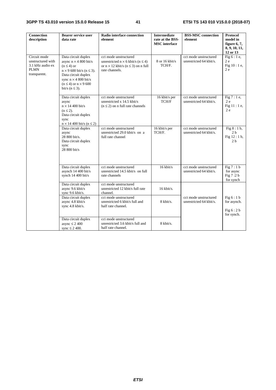| <b>Connection</b><br>description                                                     | <b>Bearer service user</b><br>data rate                                                                                                                                                                                          | Radio interface connection<br>element                                                                                                        | <b>Intermediate</b><br>rate at the BSS-<br><b>MSC</b> interface | <b>BSS-MSC</b> connection<br>element             | <b>Protocol</b><br>model in<br>figure $6, 7,$<br>8, 9, 10, 11,<br>12 or 13 |
|--------------------------------------------------------------------------------------|----------------------------------------------------------------------------------------------------------------------------------------------------------------------------------------------------------------------------------|----------------------------------------------------------------------------------------------------------------------------------------------|-----------------------------------------------------------------|--------------------------------------------------|----------------------------------------------------------------------------|
| Circuit mode<br>unstructured with<br>3.1 kHz audio ex<br><b>PLMN</b><br>transparent. | Data circuit duplex<br>async $n \times 4800$ bit/s<br>$(n \leq 4)$ or<br>$n \times 9$ 600 bit/s ( $n \le 3$ ).<br>Data circuit duplex<br>sync $n \times 4800$ bit/s<br>$(n \leq 4)$ or $n \times 9$ 600<br>bit/s ( $n \leq 3$ ). | cct mode unstructured<br>unrestricted $n \times 6$ kbit/s ( $n \le 4$ )<br>or $n \times 12$ kbit/s ( $n \le 3$ ) on n full<br>rate channels. | 8 or 16 kbit/s<br>TCH/F.                                        | cct mode unstructured<br>unrestricted 64 kbit/s. | Fig $6:1e$ ,<br>2e<br>Fig $10:1e$ ,<br>2e                                  |
|                                                                                      | Data circuit duplex<br>async<br>$n \times 14$ 400 bit/s<br>$(n \leq 2)$ .<br>Data circuit duplex<br>sync<br>$n \times 14$ 400 bit/s ( $n \le 2$ )                                                                                | cct mode unstructured<br>unrestricted x $14.5$ kbit/s<br>$(n \leq 2)$ on n full rate channels                                                | 16 kbit/s per<br>TCH/F                                          | cct mode unstructured<br>unrestricted 64 kbit/s. | Fig $7:1e$ ,<br>2e<br>Fig $11:1e$ ,<br>2e                                  |
|                                                                                      | Data circuit duplex<br>async<br>28 800 bit/s.<br>Data circuit duplex<br>sync<br>28 800 bit/s                                                                                                                                     | cct mode unstructured<br>unrestricted 29.0 kbit/s on a<br>full rate channel                                                                  | 16 kbit/s per<br>TCH/F.                                         | cct mode unstructured<br>unrestricted 64 kbit/s. | Fig $8:1 b$ ,<br>2 <sub>b</sub><br>Fig $12:1 b$ ,<br>2 <sub>h</sub>        |
|                                                                                      | Data circuit duplex<br>asynch 14 400 bit/s<br>synch 14 400 bit/s                                                                                                                                                                 | cct mode unstructured<br>unrestricted 14.5 kbit/s on full<br>rate channels                                                                   | 16 kbit/s                                                       | cct mode unstructured<br>unrestricted 64 kbit/s. | Fig $7:1 b$<br>for async<br>Fig 7:2 b<br>for synch                         |
|                                                                                      | Data circuit duplex<br>async 9.6 kbit/s<br>sync 9.6 kbit/s.                                                                                                                                                                      | cct mode unstructured<br>unrestricted 12 kbit/s full rate<br>channel.                                                                        | 16 kbit/s.                                                      |                                                  |                                                                            |
|                                                                                      | Data circuit duplex<br>async 4.8 kbit/s<br>sync 4.8 kbit/s.                                                                                                                                                                      | cct mode unstructured<br>unrestricted 6 kbit/s full and<br>half rate channel.                                                                | 8 kbit/s.                                                       | cct mode unstructured<br>unrestricted 64 kbit/s. | Fig $6:1 b$<br>for asynch.<br>Fig 6:2b<br>for synch.                       |
|                                                                                      | Data circuit duplex<br>async $\leq$ 2 400<br>sync $\leq$ 2 400.                                                                                                                                                                  | cct mode unstructured<br>unrestricted 3.6 kbit/s full and<br>half rate channel.                                                              | 8 kbit/s.                                                       |                                                  |                                                                            |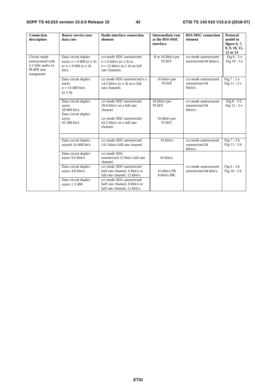| <b>Connection</b><br>description                                                  | <b>Bearer service user</b><br>data rate                                                                   | <b>Radio interface connection</b><br>element                                                                                               | <b>Intermediate rate</b><br>at the BSS-MSC<br>interface | <b>BSS-MSC</b> connection<br>element                 | Protocol<br>model in<br>figure $6, 7$ ,<br>8, 9, 10, 11,<br>12 or 13 |
|-----------------------------------------------------------------------------------|-----------------------------------------------------------------------------------------------------------|--------------------------------------------------------------------------------------------------------------------------------------------|---------------------------------------------------------|------------------------------------------------------|----------------------------------------------------------------------|
| Circuit mode<br>unstructured with<br>3.1 kHz audio ex<br>PLMN non<br>transparent. | Data circuit duplex<br>async $n \times 4800$ ( $n \le 4$ )<br>or $n \times 9$ 600 ( $n \le 4$ )<br>bit/s. | cct mode SDU unrestricted<br>$n \times 6$ kbit/s ( $n \leq 4$ ) or<br>$n \times 12$ kbit/s ( $n \leq 4$ ) on full<br>rate channels.        | 8 or 16 kbit/s per<br>TCH/F.                            | cct mode unstructured<br>unrestricted 64 kbits/s.    | Fig $6:3e$<br>Fig 10 : 3 e                                           |
|                                                                                   | Data circuit duplex<br>async<br>$n \times 14400$ bit/s<br>$(n \leq 4)$ .                                  | cct mode SDU unrestricted n x<br>14.5 kbit/s ( $n \leq 4$ ) on n full<br>rate channels                                                     | 16 kbit/s per<br>TCH/F                                  | cct mode unstructured<br>unrestricted 64<br>kbits/s. | Fig 7:3e<br>Fig 11:3 e                                               |
|                                                                                   | Data circuit duplex<br>async<br>28 800 bit/s.<br>Data circuit duplex<br>async<br>43 200 bit/s             | cct mode SDU unrestricted<br>29.0 kbit/s on a full rate<br>channel.<br>cct mode SDU unrestricted<br>43.5 kbit/s on a full rate<br>channel. | 16 kbit/s per<br>TCH/F.<br>16 kbit/s per<br>TCH/F.      | cct mode unstructured<br>unrestricted 64<br>kbits/s. | Fig $8:3b$<br>Fig 12:3 e                                             |
|                                                                                   | Data circuit duplex<br>asynch 14 400 bit/s                                                                | cct mode SDU unrestricted<br>14.5 kbit/s full rate channel                                                                                 | $16$ kbit/s                                             | cct mode unstructured<br>unrestricted 64<br>kbits/s. | Fig $7:3b$<br>Fig $11:3b$                                            |
|                                                                                   | Data circuit duplex<br>async 9.6 kbit/s                                                                   | cct mode SDU<br>unrestricted 12 kbit/s full rate<br>channel.                                                                               | $16$ kbit/s.                                            |                                                      |                                                                      |
|                                                                                   | Data circuit duplex<br>async 4.8 kbit/s                                                                   | cct mode SDU unrestricted<br>half rate channel, 6 kbit/s or<br>full rate channel, 12 kbit/s.                                               | $16$ kbit/s FR<br>8 kbit/s HR.                          | cct mode unstructured<br>unrestricted 64 kbit/s.     | Fig $6:3b$<br>Fig 10:3 b                                             |
|                                                                                   | Data circuit duplex<br>async $\leq 2400$                                                                  | cct mode SDU unrestricted<br>half rate channel, 6 kbit/s or<br>full rate channel, 12 kbit/s.                                               |                                                         |                                                      |                                                                      |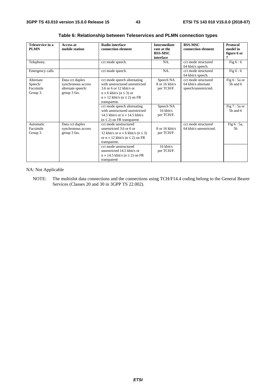| Teleservice in a<br><b>PLMN</b>               | Access at<br>mobile station                                                | <b>Radio interface</b><br>connection element                                                                                                                                                                                 | <b>Intermediate</b><br>rate at the<br><b>BSS-MSC</b><br>interface | <b>BSS-MSC</b><br>connection element                               | Protocol<br>model in<br>figure 6 or<br>7       |  |
|-----------------------------------------------|----------------------------------------------------------------------------|------------------------------------------------------------------------------------------------------------------------------------------------------------------------------------------------------------------------------|-------------------------------------------------------------------|--------------------------------------------------------------------|------------------------------------------------|--|
| Telephony.                                    |                                                                            | cct mode speech.                                                                                                                                                                                                             | NA.                                                               | cct mode structured<br>64 kbit/s speech.                           | Fig $6:6$                                      |  |
| Emergency calls.                              |                                                                            | cct mode speech.                                                                                                                                                                                                             | NA.                                                               | cct mode structured<br>64 kbit/s speech.                           | Fig $6:6$                                      |  |
| Alternate<br>Speech/<br>Facsimile<br>Group 3. | Data cct duplex<br>synchronous access<br>alternate speech/<br>group 3 fax. | cct mode speech alternating<br>with unstructured unrestricted<br>3.6 or 6 or 12 kbit/s or<br>$n \times 6$ kbit/s ( $n \le 3$ ) or<br>$n \times 12$ kbit/s ( $n \le 2$ ) on FR<br>transparent.<br>cct mode speech alternating | Speech NA<br>8 or 16 kbit/s<br>per TCH/F.<br>Speech NA            | cct mode structured<br>64 kbit/s alternate<br>speech/unrestricted. | Fig $6:5a$ or<br>$5b$ and $6$<br>Fig $7:5a$ or |  |
|                                               |                                                                            | with unstructured unrestricted<br>14.5 kbit/s or $n \times 14.5$ kbit/s<br>$(n \leq 2)$ on FR transparent                                                                                                                    | $16$ kbit/s<br>per TCH/F.                                         |                                                                    | $5b$ and $6$                                   |  |
| Automatic<br>Facsimile<br>Group 3.            | Data cct duplex<br>synchronous access<br>group 3 fax.                      | cct mode unstructured<br>unrestricted 3.6 or 6 or<br>12 kbit/s or $n \times 6$ kbit/s ( $n \le 3$ )<br>or $n \times 12$ kbit/s ( $n \le 2$ ) on FR<br>transparent.                                                           | $8$ or 16 kbit/s<br>per TCH/F.                                    | cct mode structured<br>64 kbit/s unrestricted.                     | Fig 6 : 5a,<br>5 <sub>b</sub>                  |  |
|                                               |                                                                            | cct mode unstructured<br>unrestricted 14.5 kbit/s or<br>$n \times 14.5$ kbit/s ( $n \le 2$ ) on FR<br>transparent                                                                                                            | $16$ kbit/s<br>per TCH/F.                                         |                                                                    |                                                |  |

**Table 6: Relationship between Teleservices and PLMN connection types** 

NA: Not Applicable

NOTE: The multislot data connections and the connections using TCH/F14.4 coding belong to the General Bearer Services (Classes 20 and 30 in 3GPP TS 22.002).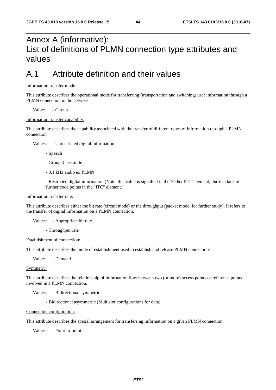## Annex A (informative): List of definitions of PLMN connection type attributes and values

## A.1 Attribute definition and their values

#### Information transfer mode:

This attribute describes the operational mode for transferring (transportation and switching) user information through a PLMN connection in the network.

Value: - Circuit

#### Information transfer capability:

This attribute describes the capability associated with the transfer of different types of information through a PLMN connection.

Values: - Unrestricted digital information

- Speech

- Group 3 facsimile

- 3.1 kHz audio ex PLMN

 - Restricted digital information (Note: this value is signalled in the "Other ITC" element, due to a lack of further code points in the "ITC" element.)

#### Information transfer rate:

This attribute describes either the bit rate (circuit mode) or the throughput (packet mode, for further study). It refers to the transfer of digital information on a PLMN connection.

Values: - Appropriate bit rate

- Throughput rate

#### Establishment of connection:

This attribute describes the mode of establishment used to establish and release PLMN connections.

Value: - Demand

#### Symmetry:

This attribute describes the relationship of information flow between two (or more) access points or reference points involved in a PLMN connection.

Values: - Bidirectional symmetric

- Bidirectional asymmetric (Multislot configurations for data)

#### Connection configuration:

This attribute describes the spatial arrangement for transferring information on a given PLMN connection.

Value: - Point-to-point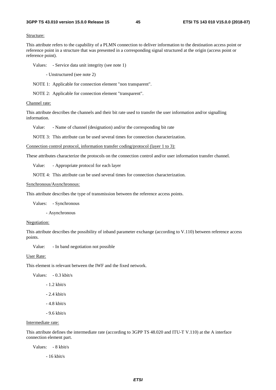#### Structure:

This attribute refers to the capability of a PLMN connection to deliver information to the destination access point or reference point in a structure that was presented in a corresponding signal structured at the origin (access point or reference point).

Values: - Service data unit integrity (see note 1)

- Unstructured (see note 2)

NOTE 1: Applicable for connection element "non transparent".

NOTE 2: Applicable for connection element "transparent".

#### Channel rate:

This attribute describes the channels and their bit rate used to transfer the user information and/or signalling information.

Value: - Name of channel (designation) and/or the corresponding bit rate

NOTE 3: This attribute can be used several times for connection characterization.

Connection control protocol, information transfer coding/protocol (layer 1 to 3):

These attributes characterize the protocols on the connection control and/or user information transfer channel.

Value: - Appropriate protocol for each layer

NOTE 4: This attribute can be used several times for connection characterization.

#### Synchronous/Asynchronous:

This attribute describes the type of transmission between the reference access points.

Values: - Synchronous

- Asynchronous

#### Negotiation:

This attribute describes the possibility of inband parameter exchange (according to V.110) between reference access points.

Value: - In band negotiation not possible

#### User Rate:

This element is relevant between the IWF and the fixed network.

Values: - 0.3 kbit/s

- 1.2 kbit/s

- 2.4 kbit/s

- 4.8 kbit/s
- 9.6 kbit/s

### Intermediate rate:

This attribute defines the intermediate rate (according to 3GPP TS 48.020 and ITU-T V.110) at the A interface connection element part.

Values: - 8 kbit/s

- 16 kbit/s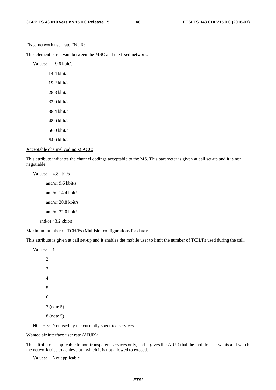#### Fixed network user rate FNUR:

This element is relevant between the MSC and the fixed network.

Values: - 9.6 kbit/s

- 14.4 kbit/s
- 19.2 kbit/s
- 28.8 kbit/s
- 32.0 kbit/s
- 38.4 kbit/s
- 48.0 kbit/s
- 56.0 kbit/s
- 64.0 kbit/s

#### Acceptable channel coding(s) ACC:

This attribute indicates the channel codings acceptable to the MS. This parameter is given at call set-up and it is non negotiable.

Values: 4.8 kbit/s and/or 9.6 kbit/s and/or 14.4 kbit/s and/or 28.8 kbit/s and/or 32.0 kbit/s and/or 43.2 kbit/s

#### Maximum number of TCH/Fs (Multislot configurations for data):

This attribute is given at call set-up and it enables the mobile user to limit the number of TCH/Fs used during the call.

NOTE 5: Not used by the currently specified services.

### Wanted air interface user rate (AIUR):

This attribute is applicable to non-transparent services only, and it gives the AIUR that the mobile user wants and which the network tries to achieve but which it is not allowed to exceed.

Values: Not applicable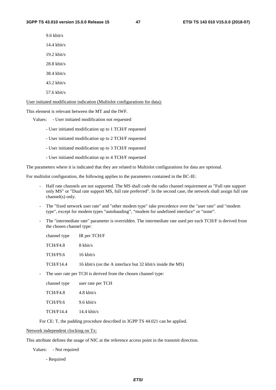9.6 kbit/s

14.4 kbit/s

19.2 kbit/s

28.8 kbit/s

38.4 kbit/s

43.2 kbit/s

57.6 kbit/s

User initiated modification indication (Multislot configurations for data):

This element is relevant between the MT and the IWF.

Values: - User initiated modification not requested

- User initiated modification up to 1 TCH/F requested

- User initiated modification up to 2 TCH/F requested
- User initiated modification up to 3 TCH/F requested
- User initiated modification up to 4 TCH/F requested

The parameters where it is indicated that they are related to Multislot configurations for data are optional.

For multislot configuration, the following applies to the parameters contained in the BC-IE:

- Half rate channels are not supported. The MS shall code the radio channel requirement as "Full rate support only MS" or "Dual rate support MS, full rate preferred". In the second case, the network shall assign full rate channel(s) only.
- The "fixed network user rate" and "other modem type" take precedence over the "user rate" and "modem type", except for modem types "autobauding", "modem for undefined interface" or "none".
- The "intermediate rate" parameter is overridden. The intermediate rate used per each TCH/F is derived from the chosen channel type:

| channel type | IR per TCH/F                                               |
|--------------|------------------------------------------------------------|
| TCH/F4.8     | 8 kbit/s                                                   |
| TCH/F9.6     | $16 \text{ kbit/s}$                                        |
| TCH/F14.4    | 16 kbit/s (on the A interface but 32 kbit/s inside the MS) |
|              |                                                            |

- The user rate per TCH is derived from the chosen channel type:

| channel type     | user rate per TCH     |
|------------------|-----------------------|
| TCH/F4.8         | 4.8 kbit/s            |
| <b>TCH/F9.6</b>  | $9.6 \text{ kbit/s}$  |
| <b>TCH/F14.4</b> | $14.4 \text{ kbit/s}$ |

For CE: T, the padding procedure described in 3GPP TS 44.021 can be applied.

Network independent clocking on Tx:

This attribute defines the usage of NIC at the reference access point in the transmit direction.

Values: - Not required

- Required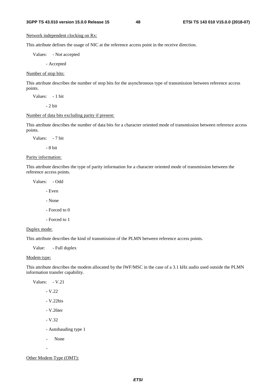### Network independent clocking on Rx:

This attribute defines the usage of NIC at the reference access point in the receive direction.

Values: - Not accepted

- Accepted

Number of stop bits:

This attribute describes the number of stop bits for the asynchronous type of transmission between reference access points.

Values: - 1 bit

 $-2$  bit

### Number of data bits excluding parity if present:

This attribute describes the number of data bits for a character oriented mode of transmission between reference access points.

Values: - 7 bit

- 8 bit

Parity information:

This attribute describes the type of parity information for a character oriented mode of transmission between the reference access points.

Values: - Odd

- Even

- None
- Forced to 0
- Forced to 1

### Duplex mode:

This attribute describes the kind of transmission of the PLMN between reference access points.

Value: - Full duplex

#### Modem type:

This attribute describes the modem allocated by the IWF/MSC in the case of a 3.1 kHz audio used outside the PLMN information transfer capability.

Values: - V.21

- V.22

- V.22bis

- V.26ter

- V.32

- Autobauding type 1

- None

-

Other Modem Type (OMT):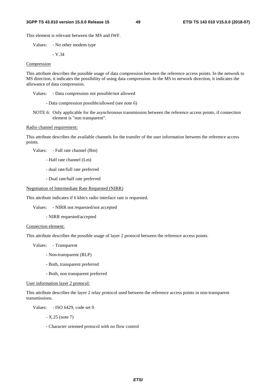#### **3GPP TS 43.010 version 15.0.0 Release 15 49 ETSI TS 143 010 V15.0.0 (2018-07)**

This element is relevant between the MS and IWF.

Values: - No other modem type

$$
-V.34
$$

### Compression

This attribute describes the possible usage of data compression between the reference access points. In the network to MS direction, it indicates the possibility of using data compression. In the MS to network direction, it indicates the allowance of data compression.

Values: - Data compression not possible/not allowed

- Data compression possible/allowed (see note 6)

NOTE 6: Only applicable for the asynchronous transmission between the reference access points, if connection element is "non transparent".

#### Radio channel requirement:

This attribute describes the available channels for the transfer of the user information between the reference access points.

Values: - Full rate channel (Bm)

- Half rate channel (Lm)
- dual rate/full rate preferred
- Dual rate/half rate preferred

#### Negotiation of Intermediate Rate Requested (NIRR)

This attribute indicates if 6 kbit/s radio interface rate is requested.

Values: - NIRR not requested/not accepted

- NIRR requested/accepted

#### Connection element:

This attribute describes the possible usage of layer 2 protocol between the reference access points.

Values: - Transparent

- Non-transparent (RLP)
- Both, transparent preferred
- Both, non transparent preferred

User information layer 2 protocol:

This attribute describes the layer 2 relay protocol used between the reference access points in non-transparent transmissions.

Values: - ISO 6429, code set 0

- X.25 (note 7)

- Character oriented protocol with no flow control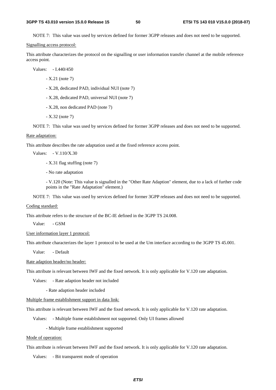NOTE 7: This value was used by services defined for former 3GPP releases and does not need to be supported.

#### Signalling access protocol:

This attribute characterizes the protocol on the signalling or user information transfer channel at the mobile reference access point.

Values: - I.440/450

- X.21 (note 7)
- X.28, dedicated PAD, individual NUI (note 7)
- X.28, dedicated PAD, universal NUI (note 7)
- X.28, non dedicated PAD (note 7)
- X.32 (note 7)

NOTE 7: This value was used by services defined for former 3GPP releases and does not need to be supported.

#### Rate adaptation:

This attribute describes the rate adaptation used at the fixed reference access point.

Values: - V.110/X.30

- X.31 flag stuffing (note 7)

- No rate adaptation

 - V.120 (Note: This value is signalled in the "Other Rate Adaption" element, due to a lack of further code points in the "Rate Adaptation" element.)

NOTE 7: This value was used by services defined for former 3GPP releases and does not need to be supported.

#### Coding standard:

This attribute refers to the structure of the BC-IE defined in the 3GPP TS 24.008.

Value: - GSM

#### User information layer 1 protocol:

This attribute characterizes the layer 1 protocol to be used at the Um interface according to the 3GPP TS 45.001.

Value: - Default

Rate adaption header/no header:

This attribute is relevant between IWF and the fixed network. It is only applicable for V.120 rate adaptation.

Values: - Rate adaption header not included

- Rate adaption header included

Multiple frame establishment support in data link:

This attribute is relevant between IWF and the fixed network. It is only applicable for V.120 rate adaptation.

Values: - Multiple frame establishment not supported. Only UI frames allowed

- Multiple frame establishment supported

#### Mode of operation:

This attribute is relevant between IWF and the fixed network. It is only applicable for V.120 rate adaptation.

Values: - Bit transparent mode of operation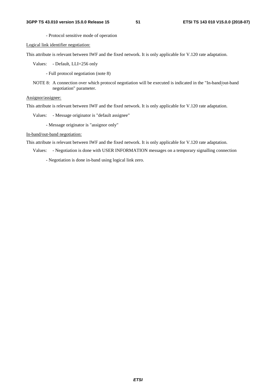- Protocol sensitive mode of operation

Logical link identifier negotiation:

This attribute is relevant between IWF and the fixed network. It is only applicable for V.120 rate adaptation.

Values: - Default, LLI=256 only

- Full protocol negotiation (note 8)

NOTE 8: A connection over which protocol negotiation will be executed is indicated in the "In-band/out-band negotiation" parameter.

Assignor/assignee:

This attribute is relevant between IWF and the fixed network. It is only applicable for V.120 rate adaptation.

Values: - Message originator is "default assignee"

- Message originator is "assignor only"

In-band/out-band negotiation:

This attribute is relevant between IWF and the fixed network. It is only applicable for V.120 rate adaptation.

Values: - Negotiation is done with USER INFORMATION messages on a temporary signalling connection

- Negotiation is done in-band using logical link zero.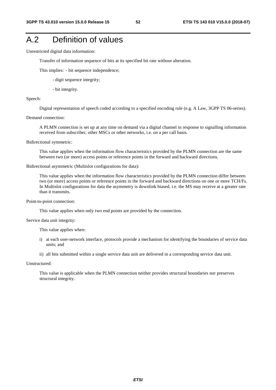## A.2 Definition of values

Unrestricted digital data information:

Transfer of information sequence of bits at its specified bit rate without alteration.

This implies: - bit sequence independence;

- digit sequence integrity;
- bit integrity.

### Speech:

Digital representation of speech coded according to a specified encoding rule (e.g. A Law, 3GPP TS 06-series).

#### Demand connection:

 A PLMN connection is set up at any time on demand via a digital channel in response to signalling information received from subscriber, other MSCs or other networks, i.e. on a per call basis.

Bidirectional symmetric:

 This value applies when the information flow characteristics provided by the PLMN connection are the same between two (or more) access points or reference points in the forward and backward directions.

#### Bidirectional asymmetric (Multislot configurations for data):

 This value applies when the information flow characteristics provided by the PLMN connection differ between two (or more) access points or reference points in the forward and backward directions on one or more TCH/Fs. In Multislot configurations for data the asymmetry is downlink biased, i.e. the MS may receive at a greater rate than it transmits.

Point-to-point connection:

This value applies when only two end points are provided by the connection.

### Service data unit integrity:

This value applies when:

- i) at each user-network interface, protocols provide a mechanism for identifying the boundaries of service data units; and
- ii) all bits submitted within a single service data unit are delivered in a corresponding service data unit.

#### Unstructured:

 This value is applicable when the PLMN connection neither provides structural boundaries nor preserves structural integrity.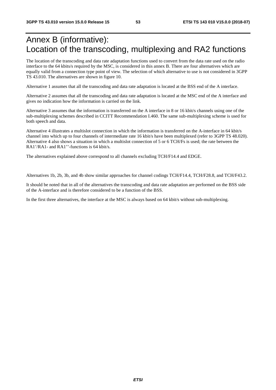## Annex B (informative): Location of the transcoding, multiplexing and RA2 functions

The location of the transcoding and data rate adaptation functions used to convert from the data rate used on the radio interface to the 64 kbits/s required by the MSC, is considered in this annex B. There are four alternatives which are equally valid from a connection type point of view. The selection of which alternative to use is not considered in 3GPP TS 43.010. The alternatives are shown in figure 10.

Alternative 1 assumes that all the transcoding and data rate adaptation is located at the BSS end of the A interface.

Alternative 2 assumes that all the transcoding and data rate adaptation is located at the MSC end of the A interface and gives no indication how the information is carried on the link.

Alternative 3 assumes that the information is transferred on the A interface in 8 or 16 kbit/s channels using one of the sub-multiplexing schemes described in CCITT Recommendation I.460. The same sub-multiplexing scheme is used for both speech and data.

Alternative 4 illustrates a multislot connection in which the information is transferred on the A-interface in 64 kbit/s channel into which up to four channels of intermediate rate 16 kbit/s have been multiplexed (refer to 3GPP TS 48.020). Alternative 4 also shows a situation in which a multislot connection of 5 or 6 TCH/Fs is used; the rate between the RA1'/RA1- and RA1''-functions is 64 kbit/s.

The alternatives explained above correspond to all channels excluding TCH/F14.4 and EDGE.

Alternatives 1b, 2b, 3b, and 4b show similar approaches for channel codings TCH/F14.4, TCH/F28.8, and TCH/F43.2.

It should be noted that in all of the alternatives the transcoding and data rate adaptation are performed on the BSS side of the A-interface and is therefore considered to be a function of the BSS.

In the first three alternatives, the interface at the MSC is always based on 64 kbit/s without sub-multiplexing.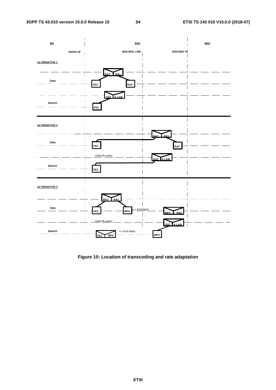

**Figure 10: Location of transcoding and rate adaptation**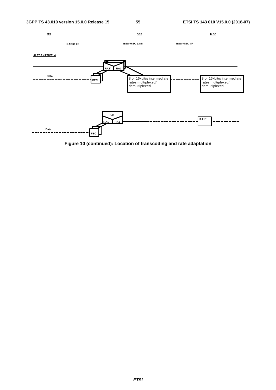

**Figure 10 (continued): Location of transcoding and rate adaptation**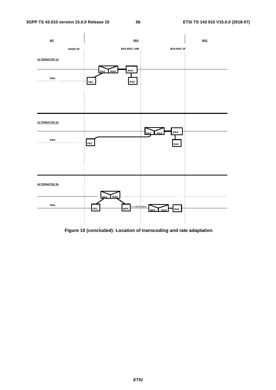

 **Figure 10 (concluded): Location of transcoding and rate adaptation**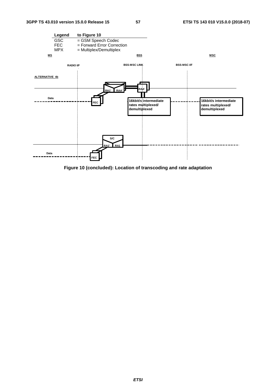

**Figure 10 (concluded): Location of transcoding and rate adaptation**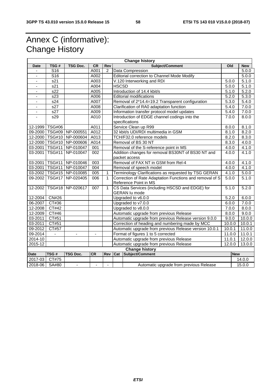## Annex C (informative): Change History

| <b>Change history</b>        |                                                                                            |                              |                |                          |                                                        |                                                                                   |        |        |            |
|------------------------------|--------------------------------------------------------------------------------------------|------------------------------|----------------|--------------------------|--------------------------------------------------------|-----------------------------------------------------------------------------------|--------|--------|------------|
| <b>Date</b>                  | TSG#                                                                                       | <b>TSG Doc.</b>              | <b>CR</b>      | Rev                      | Subject/Comment                                        |                                                                                   | Old    |        | <b>New</b> |
| ÷,                           | S <sub>16</sub>                                                                            |                              | A001           | $\overline{2}$           | Data Compression                                       |                                                                                   |        |        | 5.0.0      |
| $\qquad \qquad \blacksquare$ | S <sub>16</sub>                                                                            |                              | A002           |                          | Editorial correction to Channel Mode Modify            |                                                                                   |        |        | 5.0.0      |
|                              | s21                                                                                        |                              | A003           |                          | V.120 Interworking and RDI                             |                                                                                   | 5.0.0  |        | 5.1.0      |
| $\overline{a}$               | $\overline{s21}$                                                                           |                              | A004           |                          | <b>HSCSD</b>                                           |                                                                                   | 5.0.0  |        | 5.1.0      |
| $\overline{\phantom{a}}$     | s22                                                                                        |                              | A005           |                          |                                                        | Introduction of 14.4 kbit/s                                                       |        | 5.1.0  | 5.2.0      |
| ä,                           | $\overline{s23}$                                                                           |                              | A006           |                          |                                                        | <b>Editorial modifications</b>                                                    |        | 5.2.0  | 5.3.0      |
| $\qquad \qquad \blacksquare$ | s24                                                                                        |                              | A007           |                          |                                                        | Removal of 2*14.4=19.2 Transparent configuration                                  | 5.3.0  |        | 5.4.0      |
| $\qquad \qquad \blacksquare$ | s27                                                                                        |                              | A008           |                          |                                                        | Clarification of RA0 adaptation function                                          |        | 5.4.0  | 7.0.0      |
|                              | s27                                                                                        |                              | A009           |                          |                                                        | Information transfer protocol model updates                                       |        | 5.4.0  | 7.0.0      |
|                              | s29                                                                                        |                              | A010           |                          |                                                        | Introduction of EDGE channel codings into the<br>specifications                   |        | 7.0.0  | 8.0.0      |
|                              | 12-1999 TSG#06                                                                             |                              | A011           |                          |                                                        | Service Clean up R99                                                              |        | 8.0.0  | 8.1.0      |
|                              |                                                                                            | 09-2000   TSG#09   NP-000551 | A012           |                          |                                                        | 32 kbit/s UDI/RDI multimedia in GSM                                               | 8.1.0  |        | 8.2.0      |
|                              |                                                                                            | 12-2000   TSG#10   NP-000604 | A013           |                          |                                                        | TCH/F32.0 reference models                                                        | 8.2.0  |        | 8.3.0      |
|                              |                                                                                            | 12-2000   TSG#10   NP-000606 | A014           |                          |                                                        | Removal of BS 30 NT                                                               | 8.3.0  |        | 4.0.0      |
|                              |                                                                                            | 03-2001   TSG#11   NP-010047 | 001            |                          |                                                        | Removal of the S-reference point in MS                                            |        | 4.0.0  | 4.1.0      |
| 03-2001                      | <b>TSG#11</b>                                                                              | NP-010047                    | 002            |                          |                                                        | Addition changes for removal BS30NT of BS30 NT and<br>packet access               |        | 4.0.0  | 4.1.0      |
|                              |                                                                                            | 03-2001   TSG#11   NP-010046 | 003            |                          | Removal of FAX NT in GSM from Rel-4                    |                                                                                   | 4.0.0  |        | 4.1.0      |
|                              |                                                                                            | 03-2001   TSG#11   NP-010047 | 004            |                          |                                                        | Removal of speech model                                                           |        | 4.0.0  | 4.1.0      |
|                              |                                                                                            | 03-2002   TSG#15   NP-010085 | 005            | $\mathbf 1$              |                                                        | Terminology Clarifications as requested by TSG GERAN                              |        | 4.1.0  | 5.0.0      |
|                              | 09-2002 TSG#17                                                                             | NP-020405                    | 006            | $\mathbf{1}$             |                                                        | Correction of Rate Adaptation Functions and removal of S<br>Reference Point in MS |        | 5.0.0  | 5.1.0      |
| 12-2002                      | <b>TSG#18</b>                                                                              | NP-020617                    | 007            | $\mathbf{1}$             |                                                        | CS Data Services (including HSCSD and EDGE) for<br><b>GERAN lu mode</b>           |        | 5.1.0  | 5.2.0      |
| 12-2004                      | CN#26                                                                                      |                              |                |                          | Upgraded to v6.0.0                                     |                                                                                   | 5.2.0  |        | 6.0.0      |
| 06-2007                      | CT#36                                                                                      |                              |                |                          | Upgraded to v7.0.0                                     |                                                                                   | 6.0.0  |        | 7.0.0      |
| 12-2008                      | CT#42                                                                                      |                              |                |                          | Upgraded to v8.0.0                                     |                                                                                   | 7.0.0  |        | 8.0.0      |
| 12-2009                      | CT#46                                                                                      |                              |                |                          | Automatic upgrade from previous Release                |                                                                                   | 8.0.0  |        | 9.0.0      |
| 03-2011                      | CT#51                                                                                      |                              |                |                          | Automatic upgrade from previous Release version 9.0.0  |                                                                                   | 9.0.0  |        | 10.0.0     |
| 03-2011                      | CT#51                                                                                      |                              |                |                          | Correction of heading and numbering made by MCC        |                                                                                   | 10.0.0 |        | 10.0.1     |
| 09-2012                      | CT#57                                                                                      |                              |                |                          | Automatic upgrade from previous Release version 10.0.1 |                                                                                   | 10.0.1 |        | 11.0.0     |
| 09-2014                      |                                                                                            | $\overline{\phantom{a}}$     | $\overline{a}$ |                          | Format of figures 1 to 5 corrected                     |                                                                                   | 11.0.0 |        | 11.0.1     |
| 2014-10                      |                                                                                            |                              |                |                          | Automatic upgrade from previous Release                |                                                                                   | 11.0.1 |        | 12.0.0     |
| 2015-12                      |                                                                                            |                              |                |                          | Automatic upgrade from previous Release<br>12.0.0      |                                                                                   |        | 13.0.0 |            |
| <b>Change history</b>        |                                                                                            |                              |                |                          |                                                        |                                                                                   |        |        |            |
| <b>Date</b>                  | TSG#<br><b>CR</b><br>Cat<br>Subject/Comment<br><b>TSG Doc.</b><br><b>Rev</b><br><b>New</b> |                              |                |                          |                                                        |                                                                                   |        |        |            |
| 2017-03                      | CT#75                                                                                      |                              |                |                          |                                                        |                                                                                   |        |        | 14.0.0     |
| 2018-06 SA#80                |                                                                                            | $\blacksquare$               |                | $\overline{\phantom{a}}$ |                                                        | Automatic upgrade from previous Release                                           |        |        | 15.0.0     |